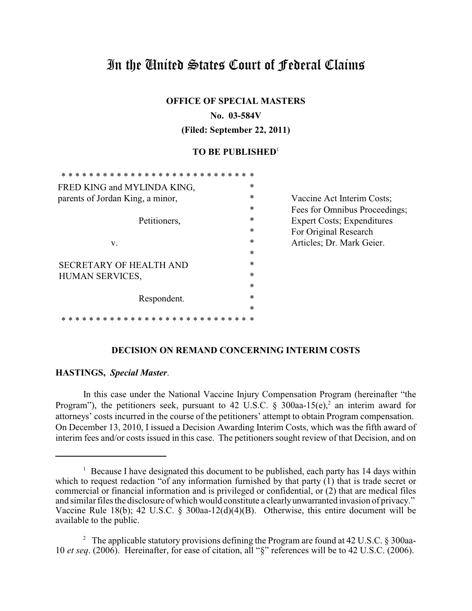# In the United States Court of Federal Claims

**OFFICE OF SPECIAL MASTERS**

### **No. 03-584V**

**(Filed: September 22, 2011)**

# **TO BE PUBLISHED**<sup>1</sup>

| FRED KING and MYLINDA KING,      | * |                                    |
|----------------------------------|---|------------------------------------|
| parents of Jordan King, a minor, | * | Vaccine Act Interim Costs;         |
|                                  | * | Fees for Omnibus Proceedings;      |
| Petitioners,                     | * | <b>Expert Costs</b> ; Expenditures |
|                                  | * | For Original Research              |
| V.                               | * | Articles; Dr. Mark Geier.          |
|                                  | * |                                    |
| <b>SECRETARY OF HEALTH AND</b>   | * |                                    |
| HUMAN SERVICES,                  | * |                                    |
|                                  | * |                                    |
| Respondent.                      | * |                                    |
|                                  | * |                                    |
|                                  |   |                                    |
|                                  |   |                                    |

## **DECISION ON REMAND CONCERNING INTERIM COSTS**

# **HASTINGS,** *Special Master*.

In this case under the National Vaccine Injury Compensation Program (hereinafter "the Program"), the petitioners seek, pursuant to 42 U.S.C. § 300aa-15(e),<sup>2</sup> an interim award for attorneys' costs incurred in the course of the petitioners' attempt to obtain Program compensation. On December 13, 2010, I issued a Decision Awarding Interim Costs, which was the fifth award of interim fees and/or costs issued in this case. The petitioners sought review of that Decision, and on

 $\frac{1}{1}$  Because I have designated this document to be published, each party has 14 days within which to request redaction "of any information furnished by that party  $(1)$  that is trade secret or commercial or financial information and is privileged or confidential, or (2) that are medical files and similar files the disclosure of which would constitute a clearlyunwarranted invasion of privacy." Vaccine Rule 18(b); 42 U.S.C. § 300aa-12(d)(4)(B). Otherwise, this entire document will be available to the public.

<sup>&</sup>lt;sup>2</sup> The applicable statutory provisions defining the Program are found at 42 U.S.C.  $\S$  300aa-10 *et seq*. (2006). Hereinafter, for ease of citation, all "§" references will be to 42 U.S.C. (2006).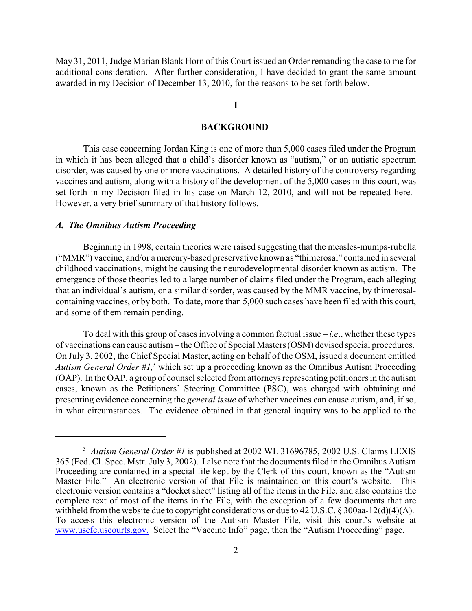May 31, 2011, Judge Marian Blank Horn of this Court issued an Order remanding the case to me for additional consideration. After further consideration, I have decided to grant the same amount awarded in my Decision of December 13, 2010, for the reasons to be set forth below.

## **I**

#### **BACKGROUND**

This case concerning Jordan King is one of more than 5,000 cases filed under the Program in which it has been alleged that a child's disorder known as "autism," or an autistic spectrum disorder, was caused by one or more vaccinations. A detailed history of the controversy regarding vaccines and autism, along with a history of the development of the 5,000 cases in this court, was set forth in my Decision filed in his case on March 12, 2010, and will not be repeated here. However, a very brief summary of that history follows.

#### *A. The Omnibus Autism Proceeding*

Beginning in 1998, certain theories were raised suggesting that the measles-mumps-rubella ("MMR") vaccine, and/or a mercury-based preservative known as "thimerosal" contained in several childhood vaccinations, might be causing the neurodevelopmental disorder known as autism. The emergence of those theories led to a large number of claims filed under the Program, each alleging that an individual's autism, or a similar disorder, was caused by the MMR vaccine, by thimerosalcontaining vaccines, or by both. To date, more than 5,000 such cases have been filed with this court, and some of them remain pending.

To deal with this group of cases involving a common factual issue – *i.e*., whether these types of vaccinations can cause autism – the Office of Special Masters (OSM) devised special procedures. On July 3, 2002, the Chief Special Master, acting on behalf of the OSM, issued a document entitled *Autism General Order #1*,<sup>3</sup> which set up a proceeding known as the Omnibus Autism Proceeding (OAP). In the OAP, a group of counsel selected from attorneys representing petitioners in the autism cases, known as the Petitioners' Steering Committee (PSC), was charged with obtaining and presenting evidence concerning the *general issue* of whether vaccines can cause autism, and, if so, in what circumstances. The evidence obtained in that general inquiry was to be applied to the

<sup>&</sup>lt;sup>3</sup> Autism General Order #1 is published at 2002 WL 31696785, 2002 U.S. Claims LEXIS 365 (Fed. Cl. Spec. Mstr. July 3, 2002). I also note that the documents filed in the Omnibus Autism Proceeding are contained in a special file kept by the Clerk of this court, known as the "Autism Master File." An electronic version of that File is maintained on this court's website. This electronic version contains a "docket sheet" listing all of the items in the File, and also contains the complete text of most of the items in the File, with the exception of a few documents that are withheld from the website due to copyright considerations or due to 42 U.S.C. § 300aa-12(d)(4)(A). To access this electronic version of the Autism Master File, visit this court's website at [www.uscfc.uscourts.gov.](http://www.uscfc.uscourts.gov.) Select the "Vaccine Info" page, then the "Autism Proceeding" page.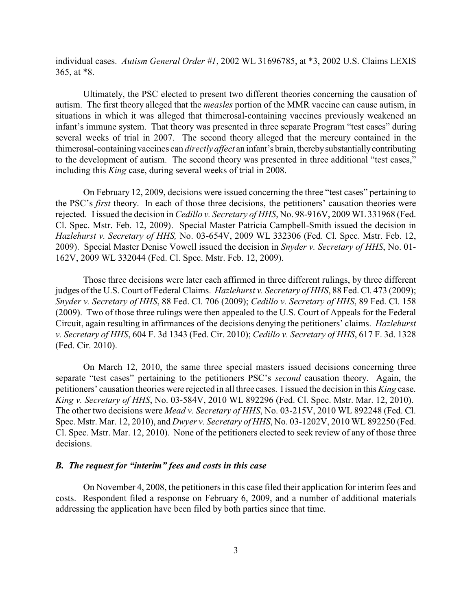individual cases. *Autism General Order #1*, 2002 WL 31696785, at \*3, 2002 U.S. Claims LEXIS 365, at \*8.

Ultimately, the PSC elected to present two different theories concerning the causation of autism. The first theory alleged that the *measles* portion of the MMR vaccine can cause autism, in situations in which it was alleged that thimerosal-containing vaccines previously weakened an infant's immune system. That theory was presented in three separate Program "test cases" during several weeks of trial in 2007. The second theory alleged that the mercury contained in the thimerosal-containing vaccines can *directly affect* an infant's brain, therebysubstantiallycontributing to the development of autism. The second theory was presented in three additional "test cases," including this *King* case, during several weeks of trial in 2008.

On February 12, 2009, decisions were issued concerning the three "test cases" pertaining to the PSC's *first* theory. In each of those three decisions, the petitioners' causation theories were rejected. Iissued the decision in *Cedillo v. Secretary of HHS*, No. 98-916V, 2009 WL 331968 (Fed. Cl. Spec. Mstr. Feb. 12, 2009). Special Master Patricia Campbell-Smith issued the decision in *Hazlehurst v. Secretary of HHS,* No. 03-654V, 2009 WL 332306 (Fed. Cl. Spec. Mstr. Feb. 12, 2009). Special Master Denise Vowell issued the decision in *Snyder v. Secretary of HHS*, No. 01- 162V, 2009 WL 332044 (Fed. Cl. Spec. Mstr. Feb. 12, 2009).

Those three decisions were later each affirmed in three different rulings, by three different judges of the U.S. Court of Federal Claims. *Hazlehurst v. Secretary of HHS*, 88 Fed. Cl. 473 (2009); *Snyder v. Secretary of HHS*, 88 Fed. Cl. 706 (2009); *Cedillo v. Secretary of HHS*, 89 Fed. Cl. 158 (2009). Two of those three rulings were then appealed to the U.S. Court of Appeals for the Federal Circuit, again resulting in affirmances of the decisions denying the petitioners' claims. *Hazlehurst v. Secretary of HHS*, 604 F. 3d 1343 (Fed. Cir. 2010); *Cedillo v. Secretary of HHS*, 617 F. 3d. 1328 (Fed. Cir. 2010).

On March 12, 2010, the same three special masters issued decisions concerning three separate "test cases" pertaining to the petitioners PSC's *second* causation theory. Again, the petitioners' causation theories were rejected in all three cases. Iissued the decision in this *King* case. *King v. Secretary of HHS*, No. 03-584V, 2010 WL 892296 (Fed. Cl. Spec. Mstr. Mar. 12, 2010). The other two decisions were *Mead v. Secretary of HHS*, No. 03-215V, 2010 WL 892248 (Fed. Cl. Spec. Mstr. Mar. 12, 2010), and *Dwyer v. Secretary of HHS*, No. 03-1202V, 2010 WL 892250 (Fed. Cl. Spec. Mstr. Mar. 12, 2010). None of the petitioners elected to seek review of any of those three decisions.

## *B. The request for "interim" fees and costs in this case*

On November 4, 2008, the petitioners in this case filed their application for interim fees and costs. Respondent filed a response on February 6, 2009, and a number of additional materials addressing the application have been filed by both parties since that time.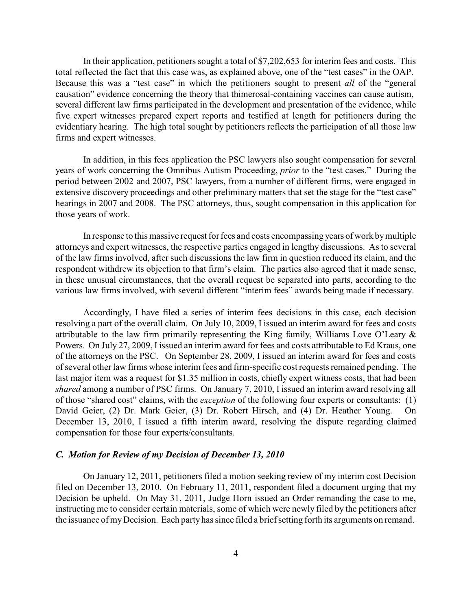In their application, petitioners sought a total of \$7,202,653 for interim fees and costs. This total reflected the fact that this case was, as explained above, one of the "test cases" in the OAP. Because this was a "test case" in which the petitioners sought to present *all* of the "general causation" evidence concerning the theory that thimerosal-containing vaccines can cause autism, several different law firms participated in the development and presentation of the evidence, while five expert witnesses prepared expert reports and testified at length for petitioners during the evidentiary hearing. The high total sought by petitioners reflects the participation of all those law firms and expert witnesses.

In addition, in this fees application the PSC lawyers also sought compensation for several years of work concerning the Omnibus Autism Proceeding, *prior* to the "test cases." During the period between 2002 and 2007, PSC lawyers, from a number of different firms, were engaged in extensive discovery proceedings and other preliminary matters that set the stage for the "test case" hearings in 2007 and 2008. The PSC attorneys, thus, sought compensation in this application for those years of work.

In response to this massive request for fees and costs encompassing years of work bymultiple attorneys and expert witnesses, the respective parties engaged in lengthy discussions. As to several of the law firms involved, after such discussions the law firm in question reduced its claim, and the respondent withdrew its objection to that firm's claim. The parties also agreed that it made sense, in these unusual circumstances, that the overall request be separated into parts, according to the various law firms involved, with several different "interim fees" awards being made if necessary.

Accordingly, I have filed a series of interim fees decisions in this case, each decision resolving a part of the overall claim. On July 10, 2009, I issued an interim award for fees and costs attributable to the law firm primarily representing the King family, Williams Love O'Leary & Powers. On July 27, 2009, I issued an interim award for fees and costs attributable to Ed Kraus, one of the attorneys on the PSC. On September 28, 2009, I issued an interim award for fees and costs of several other law firms whose interim fees and firm-specific cost requests remained pending. The last major item was a request for \$1.35 million in costs, chiefly expert witness costs, that had been *shared* among a number of PSC firms. On January 7, 2010, I issued an interim award resolving all of those "shared cost" claims, with the *exception* of the following four experts or consultants: (1) David Geier, (2) Dr. Mark Geier, (3) Dr. Robert Hirsch, and (4) Dr. Heather Young. On December 13, 2010, I issued a fifth interim award, resolving the dispute regarding claimed compensation for those four experts/consultants.

#### *C. Motion for Review of my Decision of December 13, 2010*

On January 12, 2011, petitioners filed a motion seeking review of my interim cost Decision filed on December 13, 2010. On February 11, 2011, respondent filed a document urging that my Decision be upheld. On May 31, 2011, Judge Horn issued an Order remanding the case to me, instructing me to consider certain materials, some of which were newly filed by the petitioners after the issuance of myDecision. Each party has since filed a brief setting forth its arguments on remand.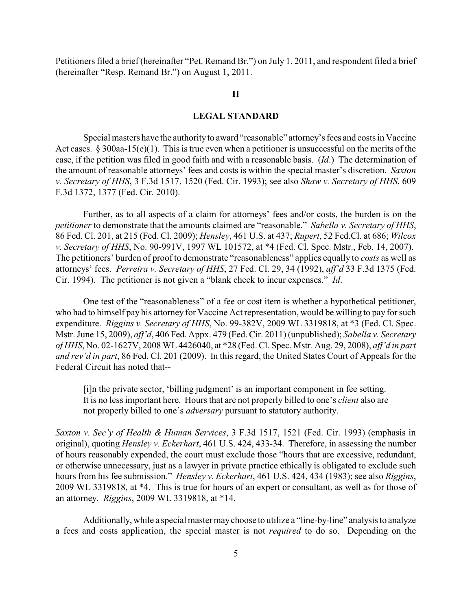Petitioners filed a brief (hereinafter "Pet. Remand Br.") on July 1, 2011, and respondent filed a brief (hereinafter "Resp. Remand Br.") on August 1, 2011.

#### **II**

## **LEGAL STANDARD**

Special masters have the authorityto award "reasonable" attorney's fees and costs in Vaccine Act cases. § 300aa-15(e)(1). This is true even when a petitioner is unsuccessful on the merits of the case, if the petition was filed in good faith and with a reasonable basis. (*Id*.) The determination of the amount of reasonable attorneys' fees and costs is within the special master's discretion. *Saxton v. Secretary of HHS*, 3 F.3d 1517, 1520 (Fed. Cir. 1993); see also *Shaw v. Secretary of HHS*, 609 F.3d 1372, 1377 (Fed. Cir. 2010).

Further, as to all aspects of a claim for attorneys' fees and/or costs, the burden is on the *petitioner* to demonstrate that the amounts claimed are "reasonable." *Sabella v. Secretary of HHS*, 86 Fed. Cl. 201, at 215 (Fed. Cl. 2009); *Hensley*, 461 U.S. at 437; *Rupert*, 52 Fed.Cl. at 686; *Wilcox v. Secretary of HHS*, No. 90-991V, 1997 WL 101572, at \*4 (Fed. Cl. Spec. Mstr., Feb. 14, 2007). The petitioners' burden of proof to demonstrate "reasonableness" applies equally to *costs* as well as attorneys' fees. *Perreira v. Secretary of HHS*, 27 Fed. Cl. 29, 34 (1992), *aff'd* 33 F.3d 1375 (Fed. Cir. 1994). The petitioner is not given a "blank check to incur expenses." *Id*.

One test of the "reasonableness" of a fee or cost item is whether a hypothetical petitioner, who had to himself pay his attorney for Vaccine Act representation, would be willing to pay for such expenditure. *Riggins v. Secretary of HHS*, No. 99-382V, 2009 WL 3319818, at \*3 (Fed. Cl. Spec. Mstr. June 15, 2009), *aff'd*, 406 Fed. Appx. 479 (Fed. Cir. 2011) (unpublished); *Sabella v. Secretary of HHS*, No. 02-1627V, 2008 WL 4426040, at \*28 (Fed. Cl. Spec. Mstr. Aug. 29, 2008), *aff'd in part and rev'd in part*, 86 Fed. Cl. 201 (2009). In this regard, the United States Court of Appeals for the Federal Circuit has noted that--

[i]n the private sector, 'billing judgment' is an important component in fee setting. It is no less important here. Hours that are not properly billed to one's *client* also are not properly billed to one's *adversary* pursuant to statutory authority.

*Saxton v. Sec'y of Health & Human Services*, 3 F.3d 1517, 1521 (Fed. Cir. 1993) (emphasis in original), quoting *Hensley v. Eckerhart*, 461 U.S. 424, 433-34. Therefore, in assessing the number of hours reasonably expended, the court must exclude those "hours that are excessive, redundant, or otherwise unnecessary, just as a lawyer in private practice ethically is obligated to exclude such hours from his fee submission." *Hensley v. Eckerhart*, 461 U.S. 424, 434 (1983); see also *Riggins*, 2009 WL 3319818, at \*4. This is true for hours of an expert or consultant, as well as for those of an attorney. *Riggins*, 2009 WL 3319818, at \*14.

Additionally, while a special master maychoose to utilize a "line-by-line" analysis to analyze a fees and costs application, the special master is not *required* to do so. Depending on the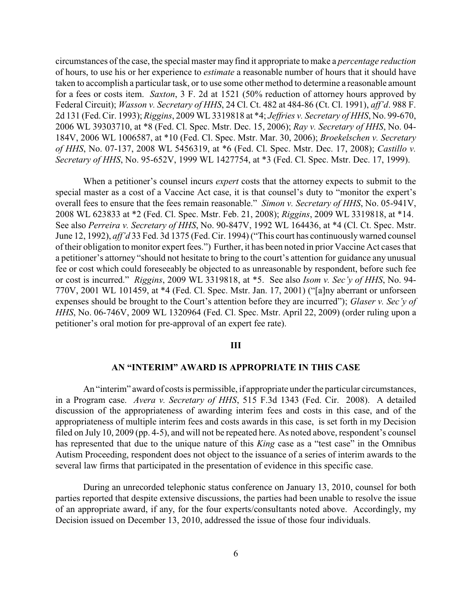circumstances of the case, the special master may find it appropriate to make a *percentage reduction* of hours, to use his or her experience to *estimate* a reasonable number of hours that it should have taken to accomplish a particular task, or to use some other method to determine a reasonable amount for a fees or costs item. *Saxton*, 3 F. 2d at 1521 (50% reduction of attorney hours approved by Federal Circuit); *Wasson v. Secretary of HHS*, 24 Cl. Ct. 482 at 484-86 (Ct. Cl. 1991), *aff'd*. 988 F. 2d 131 (Fed. Cir. 1993); *Riggins*, 2009 WL 3319818 at \*4; *Jeffries v. Secretary of HHS*, No. 99-670, 2006 WL 39303710, at \*8 (Fed. Cl. Spec. Mstr. Dec. 15, 2006); *Ray v. Secretary of HHS*, No. 04- 184V, 2006 WL 1006587, at \*10 (Fed. Cl. Spec. Mstr. Mar. 30, 2006); *Broekelschen v. Secretary of HHS*, No. 07-137, 2008 WL 5456319, at \*6 (Fed. Cl. Spec. Mstr. Dec. 17, 2008); *Castillo v. Secretary of HHS*, No. 95-652V, 1999 WL 1427754, at \*3 (Fed. Cl. Spec. Mstr. Dec. 17, 1999).

When a petitioner's counsel incurs *expert* costs that the attorney expects to submit to the special master as a cost of a Vaccine Act case, it is that counsel's duty to "monitor the expert's overall fees to ensure that the fees remain reasonable." *Simon v. Secretary of HHS*, No. 05-941V, 2008 WL 623833 at \*2 (Fed. Cl. Spec. Mstr. Feb. 21, 2008); *Riggins*, 2009 WL 3319818, at \*14. See also *Perreira v. Secretary of HHS*, No. 90-847V, 1992 WL 164436, at \*4 (Cl. Ct. Spec. Mstr. June 12, 1992), *aff'd* 33 Fed. 3d 1375 (Fed. Cir. 1994) ("This court has continuouslywarned counsel of their obligation to monitor expert fees.") Further, it has been noted in prior Vaccine Act cases that a petitioner's attorney "should not hesitate to bring to the court's attention for guidance any unusual fee or cost which could foreseeably be objected to as unreasonable by respondent, before such fee or cost is incurred." *Riggins*, 2009 WL 3319818, at \*5. See also *Isom v. Sec'y of HHS*, No. 94- 770V, 2001 WL 101459, at \*4 (Fed. Cl. Spec. Mstr. Jan. 17, 2001) ("[a]ny aberrant or unforseen expenses should be brought to the Court's attention before they are incurred"); *Glaser v. Sec'y of HHS*, No. 06-746V, 2009 WL 1320964 (Fed. Cl. Spec. Mstr. April 22, 2009) (order ruling upon a petitioner's oral motion for pre-approval of an expert fee rate).

#### **III**

#### **AN "INTERIM" AWARD IS APPROPRIATE IN THIS CASE**

An "interim" award of costs is permissible, if appropriate under the particular circumstances, in a Program case. *Avera v. Secretary of HHS*, 515 F.3d 1343 (Fed. Cir. 2008). A detailed discussion of the appropriateness of awarding interim fees and costs in this case, and of the appropriateness of multiple interim fees and costs awards in this case, is set forth in my Decision filed on July 10, 2009 (pp. 4-5), and will not be repeated here. As noted above, respondent's counsel has represented that due to the unique nature of this *King* case as a "test case" in the Omnibus Autism Proceeding, respondent does not object to the issuance of a series of interim awards to the several law firms that participated in the presentation of evidence in this specific case.

During an unrecorded telephonic status conference on January 13, 2010, counsel for both parties reported that despite extensive discussions, the parties had been unable to resolve the issue of an appropriate award, if any, for the four experts/consultants noted above. Accordingly, my Decision issued on December 13, 2010, addressed the issue of those four individuals.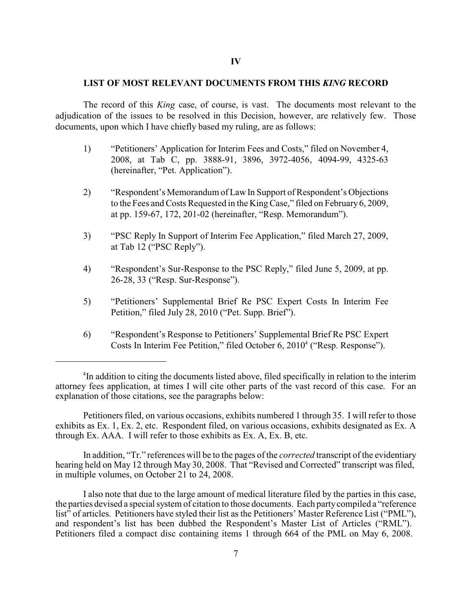#### **LIST OF MOST RELEVANT DOCUMENTS FROM THIS** *KING* **RECORD**

The record of this *King* case, of course, is vast. The documents most relevant to the adjudication of the issues to be resolved in this Decision, however, are relatively few. Those documents, upon which I have chiefly based my ruling, are as follows:

- 1) "Petitioners' Application for Interim Fees and Costs," filed on November 4, 2008, at Tab C, pp. 3888-91, 3896, 3972-4056, 4094-99, 4325-63 (hereinafter, "Pet. Application").
- 2) "Respondent's Memorandum of Law In Support of Respondent's Objections to the Fees and Costs Requested in the KingCase," filed on February6, 2009, at pp. 159-67, 172, 201-02 (hereinafter, "Resp. Memorandum").
- 3) "PSC Reply In Support of Interim Fee Application," filed March 27, 2009, at Tab 12 ("PSC Reply").
- 4) "Respondent's Sur-Response to the PSC Reply," filed June 5, 2009, at pp. 26-28, 33 ("Resp. Sur-Response").
- 5) "Petitioners' Supplemental Brief Re PSC Expert Costs In Interim Fee Petition," filed July 28, 2010 ("Pet. Supp. Brief").
- 6) "Respondent's Response to Petitioners' Supplemental Brief Re PSC Expert Costs In Interim Fee Petition," filed October 6, 2010<sup>4</sup> ("Resp. Response").

Petitioners filed, on various occasions, exhibits numbered 1 through 35. I will refer to those exhibits as Ex. 1, Ex. 2, etc. Respondent filed, on various occasions, exhibits designated as Ex. A through Ex. AAA. I will refer to those exhibits as Ex. A, Ex. B, etc.

In addition, "Tr." references will be to the pages of the *corrected* transcript of the evidentiary hearing held on May 12 through May 30, 2008. That "Revised and Corrected" transcript was filed, in multiple volumes, on October 21 to 24, 2008.

I also note that due to the large amount of medical literature filed by the parties in this case, the parties devised a special system of citation to those documents. Each partycompiled a "reference list" of articles. Petitioners have styled their list as the Petitioners' Master Reference List ("PML"), and respondent's list has been dubbed the Respondent's Master List of Articles ("RML"). Petitioners filed a compact disc containing items 1 through 664 of the PML on May 6, 2008.

In addition to citing the documents listed above, filed specifically in relation to the interim <sup>4</sup> attorney fees application, at times I will cite other parts of the vast record of this case. For an explanation of those citations, see the paragraphs below: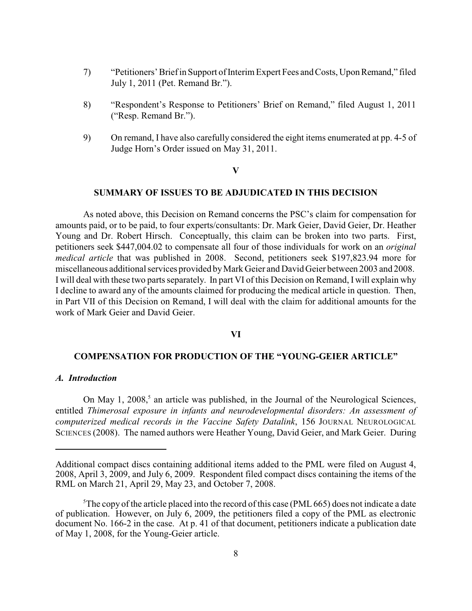- 7) "Petitioners' Brief in Support of Interim Expert Fees and Costs, UponRemand," filed July 1, 2011 (Pet. Remand Br.").
- 8) "Respondent's Response to Petitioners' Brief on Remand," filed August 1, 2011 ("Resp. Remand Br.").
- 9) On remand, I have also carefully considered the eight items enumerated at pp. 4-5 of Judge Horn's Order issued on May 31, 2011.

#### **V**

#### **SUMMARY OF ISSUES TO BE ADJUDICATED IN THIS DECISION**

As noted above, this Decision on Remand concerns the PSC's claim for compensation for amounts paid, or to be paid, to four experts/consultants: Dr. Mark Geier, David Geier, Dr. Heather Young and Dr. Robert Hirsch. Conceptually, this claim can be broken into two parts. First, petitioners seek \$447,004.02 to compensate all four of those individuals for work on an *original medical article* that was published in 2008. Second, petitioners seek \$197,823.94 more for miscellaneous additional services provided byMark Geier and David Geier between 2003 and 2008. I will deal with these two parts separately. In part VI of this Decision on Remand, I will explain why I decline to award any of the amounts claimed for producing the medical article in question. Then, in Part VII of this Decision on Remand, I will deal with the claim for additional amounts for the work of Mark Geier and David Geier.

#### **VI**

# **COMPENSATION FOR PRODUCTION OF THE "YOUNG-GEIER ARTICLE"**

#### *A. Introduction*

On May 1,  $2008<sup>5</sup>$  an article was published, in the Journal of the Neurological Sciences, entitled *Thimerosal exposure in infants and neurodevelopmental disorders: An assessment of computerized medical records in the Vaccine Safety Datalink*, 156 JOURNAL NEUROLOGICAL SCIENCES (2008). The named authors were Heather Young, David Geier, and Mark Geier. During

Additional compact discs containing additional items added to the PML were filed on August 4, 2008, April 3, 2009, and July 6, 2009. Respondent filed compact discs containing the items of the RML on March 21, April 29, May 23, and October 7, 2008.

 ${}^5$ The copy of the article placed into the record of this case (PML 665) does not indicate a date of publication. However, on July 6, 2009, the petitioners filed a copy of the PML as electronic document No. 166-2 in the case. At p. 41 of that document, petitioners indicate a publication date of May 1, 2008, for the Young-Geier article.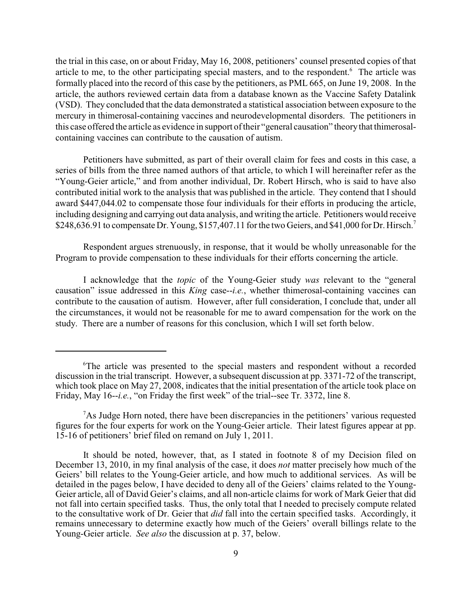the trial in this case, on or about Friday, May 16, 2008, petitioners' counsel presented copies of that article to me, to the other participating special masters, and to the respondent.<sup>6</sup> The article was formally placed into the record of this case by the petitioners, as PML 665, on June 19, 2008. In the article, the authors reviewed certain data from a database known as the Vaccine Safety Datalink (VSD). They concluded that the data demonstrated a statistical association between exposure to the mercury in thimerosal-containing vaccines and neurodevelopmental disorders. The petitioners in this case offered the article as evidence in support of their "general causation" theorythat thimerosalcontaining vaccines can contribute to the causation of autism.

Petitioners have submitted, as part of their overall claim for fees and costs in this case, a series of bills from the three named authors of that article, to which I will hereinafter refer as the "Young-Geier article," and from another individual, Dr. Robert Hirsch, who is said to have also contributed initial work to the analysis that was published in the article. They contend that I should award \$447,044.02 to compensate those four individuals for their efforts in producing the article, including designing and carrying out data analysis, and writing the article. Petitioners would receive \$248,636.91 to compensate Dr. Young, \$157,407.11 for the two Geiers, and \$41,000 for Dr. Hirsch.<sup>7</sup>

Respondent argues strenuously, in response, that it would be wholly unreasonable for the Program to provide compensation to these individuals for their efforts concerning the article.

I acknowledge that the *topic* of the Young-Geier study *was* relevant to the "general causation" issue addressed in this *King* case--*i.e.*, whether thimerosal-containing vaccines can contribute to the causation of autism. However, after full consideration, I conclude that, under all the circumstances, it would not be reasonable for me to award compensation for the work on the study. There are a number of reasons for this conclusion, which I will set forth below.

 ${}^6$ The article was presented to the special masters and respondent without a recorded discussion in the trial transcript. However, a subsequent discussion at pp. 3371-72 of the transcript, which took place on May 27, 2008, indicates that the initial presentation of the article took place on Friday, May 16--*i.e.*, "on Friday the first week" of the trial--see Tr. 3372, line 8.

 ${}^{7}$ As Judge Horn noted, there have been discrepancies in the petitioners' various requested figures for the four experts for work on the Young-Geier article. Their latest figures appear at pp. 15-16 of petitioners' brief filed on remand on July 1, 2011.

It should be noted, however, that, as I stated in footnote 8 of my Decision filed on December 13, 2010, in my final analysis of the case, it does *not* matter precisely how much of the Geiers' bill relates to the Young-Geier article, and how much to additional services. As will be detailed in the pages below, I have decided to deny all of the Geiers' claims related to the Young-Geier article, all of David Geier's claims, and all non-article claims for work of Mark Geier that did not fall into certain specified tasks. Thus, the only total that I needed to precisely compute related to the consultative work of Dr. Geier that *did* fall into the certain specified tasks. Accordingly, it remains unnecessary to determine exactly how much of the Geiers' overall billings relate to the Young-Geier article. *See also* the discussion at p. 37, below.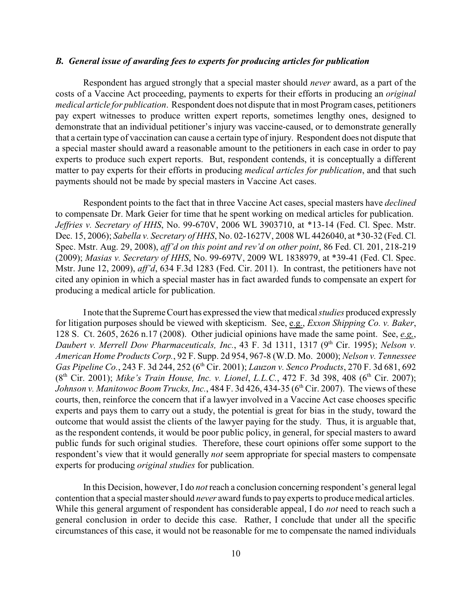## *B. General issue of awarding fees to experts for producing articles for publication*

Respondent has argued strongly that a special master should *never* award, as a part of the costs of a Vaccine Act proceeding, payments to experts for their efforts in producing an *original medical article for publication*. Respondent does not dispute that in most Program cases, petitioners pay expert witnesses to produce written expert reports, sometimes lengthy ones, designed to demonstrate that an individual petitioner's injury was vaccine-caused, or to demonstrate generally that a certain type of vaccination can cause a certain type of injury. Respondent does not dispute that a special master should award a reasonable amount to the petitioners in each case in order to pay experts to produce such expert reports. But, respondent contends, it is conceptually a different matter to pay experts for their efforts in producing *medical articles for publication*, and that such payments should not be made by special masters in Vaccine Act cases.

Respondent points to the fact that in three Vaccine Act cases, special masters have *declined* to compensate Dr. Mark Geier for time that he spent working on medical articles for publication. *Jeffries v. Secretary of HHS*, No. 99-670V, 2006 WL 3903710, at \*13-14 (Fed. Cl. Spec. Mstr. Dec. 15, 2006); *Sabella v. Secretary of HHS*, No. 02-1627V, 2008 WL 4426040, at \*30-32 (Fed. Cl. Spec. Mstr. Aug. 29, 2008), *aff'd on this point and rev'd on other point*, 86 Fed. Cl. 201, 218-219 (2009); *Masias v. Secretary of HHS*, No. 99-697V, 2009 WL 1838979, at \*39-41 (Fed. Cl. Spec. Mstr. June 12, 2009), *aff'd*, 634 F.3d 1283 (Fed. Cir. 2011). In contrast, the petitioners have not cited any opinion in which a special master has in fact awarded funds to compensate an expert for producing a medical article for publication.

I note that the Supreme Court has expressed the view that medical *studies* produced expressly for litigation purposes should be viewed with skepticism. See, e.g., *Exxon Shipping Co. v. Baker*, 128 S. Ct. 2605, 2626 n.17 (2008). Other judicial opinions have made the same point. See, *e.g,*, *Daubert v. Merrell Dow Pharmaceuticals, Inc.*, 43 F. 3d 1311, 1317 (9<sup>th</sup> Cir. 1995); *Nelson v. American Home Products Corp.*, 92 F. Supp. 2d 954, 967-8 (W.D. Mo. 2000); *Nelson v. Tennessee Gas Pipeline Co.*, 243 F. 3d 244, 252 (6<sup>th</sup> Cir. 2001); *Lauzon v. Senco Products*, 270 F. 3d 681, 692 (8<sup>th</sup> Cir. 2001); *Mike's Train House, Inc. v. Lionel, L.L.C.*, 472 F. 3d 398, 408 (6<sup>th</sup> Cir. 2007); *Johnson v. Manitowoc Boom Trucks, Inc.*,  $484$  F. 3d  $426$ ,  $434-35$  ( $6<sup>th</sup>$  Cir. 2007). The views of these courts, then, reinforce the concern that if a lawyer involved in a Vaccine Act case chooses specific experts and pays them to carry out a study, the potential is great for bias in the study, toward the outcome that would assist the clients of the lawyer paying for the study. Thus, it is arguable that, as the respondent contends, it would be poor public policy, in general, for special masters to award public funds for such original studies. Therefore, these court opinions offer some support to the respondent's view that it would generally *not* seem appropriate for special masters to compensate experts for producing *original studies* for publication.

In this Decision, however, I do *not* reach a conclusion concerning respondent's general legal contention that a special master should *never* award funds to payexperts to producemedical articles. While this general argument of respondent has considerable appeal, I do *not* need to reach such a general conclusion in order to decide this case. Rather, I conclude that under all the specific circumstances of this case, it would not be reasonable for me to compensate the named individuals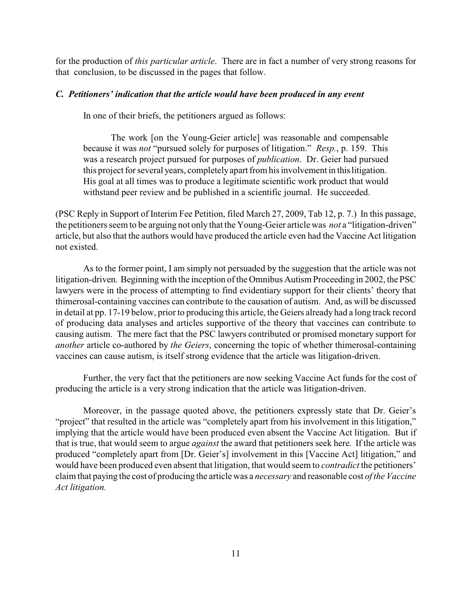for the production of *this particular article*. There are in fact a number of very strong reasons for that conclusion, to be discussed in the pages that follow.

### *C. Petitioners' indication that the article would have been produced in any event*

In one of their briefs, the petitioners argued as follows:

The work [on the Young-Geier article] was reasonable and compensable because it was *not* "pursued solely for purposes of litigation." *Resp.*, p. 159. This was a research project pursued for purposes of *publication*. Dr. Geier had pursued this project for several years, completelyapart from his involvement in thislitigation. His goal at all times was to produce a legitimate scientific work product that would withstand peer review and be published in a scientific journal. He succeeded.

(PSC Reply in Support of Interim Fee Petition, filed March 27, 2009, Tab 12, p. 7.) In this passage, the petitioners seem to be arguing not only that the Young-Geier article was *not* a "litigation-driven" article, but also that the authors would have produced the article even had the Vaccine Act litigation not existed.

As to the former point, I am simply not persuaded by the suggestion that the article was not litigation-driven. Beginning with the inception of the Omnibus Autism Proceeding in 2002, the PSC lawyers were in the process of attempting to find evidentiary support for their clients' theory that thimerosal-containing vaccines can contribute to the causation of autism. And, as will be discussed in detail at pp. 17-19 below, prior to producing this article, the Geiers already had a long track record of producing data analyses and articles supportive of the theory that vaccines can contribute to causing autism. The mere fact that the PSC lawyers contributed or promised monetary support for *another* article co-authored by *the Geiers*, concerning the topic of whether thimerosal-containing vaccines can cause autism, is itself strong evidence that the article was litigation-driven.

Further, the very fact that the petitioners are now seeking Vaccine Act funds for the cost of producing the article is a very strong indication that the article was litigation-driven.

Moreover, in the passage quoted above, the petitioners expressly state that Dr. Geier's "project" that resulted in the article was "completely apart from his involvement in this litigation," implying that the article would have been produced even absent the Vaccine Act litigation. But if that is true, that would seem to argue *against* the award that petitioners seek here. If the article was produced "completely apart from [Dr. Geier's] involvement in this [Vaccine Act] litigation," and would have been produced even absent that litigation, that would seem to *contradict* the petitioners' claim that paying the cost of producing the article was a *necessary* and reasonable cost *of the Vaccine Act litigation.*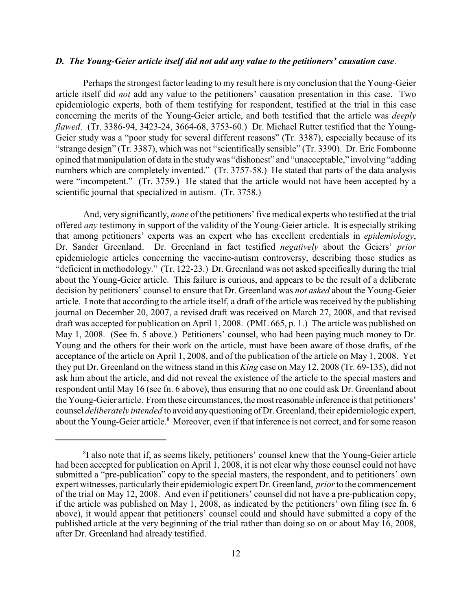## *D. The Young-Geier article itself did not add any value to the petitioners' causation case*.

Perhaps the strongest factor leading to my result here is my conclusion that the Young-Geier article itself did *not* add any value to the petitioners' causation presentation in this case. Two epidemiologic experts, both of them testifying for respondent, testified at the trial in this case concerning the merits of the Young-Geier article, and both testified that the article was *deeply flawed*. (Tr. 3386-94, 3423-24, 3664-68, 3753-60.) Dr. Michael Rutter testified that the Young-Geier study was a "poor study for several different reasons" (Tr. 3387), especially because of its "strange design" (Tr. 3387), which was not "scientifically sensible" (Tr. 3390). Dr. Eric Fombonne opined that manipulation of data in the studywas "dishonest" and "unacceptable," involving "adding numbers which are completely invented." (Tr. 3757-58.) He stated that parts of the data analysis were "incompetent." (Tr. 3759.) He stated that the article would not have been accepted by a scientific journal that specialized in autism. (Tr. 3758.)

And, very significantly, *none* of the petitioners' five medical experts who testified at the trial offered *any* testimony in support of the validity of the Young-Geier article. It is especially striking that among petitioners' experts was an expert who has excellent credentials in *epidemiology*, Dr. Sander Greenland. Dr. Greenland in fact testified *negatively* about the Geiers' *prior* epidemiologic articles concerning the vaccine-autism controversy, describing those studies as "deficient in methodology." (Tr. 122-23.) Dr. Greenland was not asked specifically during the trial about the Young-Geier article. This failure is curious, and appears to be the result of a deliberate decision by petitioners' counsel to ensure that Dr. Greenland was *not asked* about the Young-Geier article. I note that according to the article itself, a draft of the article was received by the publishing journal on December 20, 2007, a revised draft was received on March 27, 2008, and that revised draft was accepted for publication on April 1, 2008. (PML 665, p. 1.) The article was published on May 1, 2008. (See fn. 5 above.) Petitioners' counsel, who had been paying much money to Dr. Young and the others for their work on the article, must have been aware of those drafts, of the acceptance of the article on April 1, 2008, and of the publication of the article on May 1, 2008. Yet they put Dr. Greenland on the witness stand in this *King* case on May 12, 2008 (Tr. 69-135), did not ask him about the article, and did not reveal the existence of the article to the special masters and respondent until May 16 (see fn. 6 above), thus ensuring that no one could ask Dr. Greenland about the Young-Geier article. From these circumstances, the most reasonable inference is that petitioners' counsel *deliberately intended* to avoid any questioning of Dr. Greenland, their epidemiologic expert, about the Young-Geier article.<sup>8</sup> Moreover, even if that inference is not correct, and for some reason

<sup>&</sup>lt;sup>8</sup>I also note that if, as seems likely, petitioners' counsel knew that the Young-Geier article had been accepted for publication on April 1, 2008, it is not clear why those counsel could not have submitted a "pre-publication" copy to the special masters, the respondent, and to petitioners' own expert witnesses, particularlytheir epidemiologic expert Dr. Greenland, *prior*to the commencement of the trial on May 12, 2008. And even if petitioners' counsel did not have a pre-publication copy, if the article was published on May 1, 2008, as indicated by the petitioners' own filing (see fn. 6 above), it would appear that petitioners' counsel could and should have submitted a copy of the published article at the very beginning of the trial rather than doing so on or about May 16, 2008, after Dr. Greenland had already testified.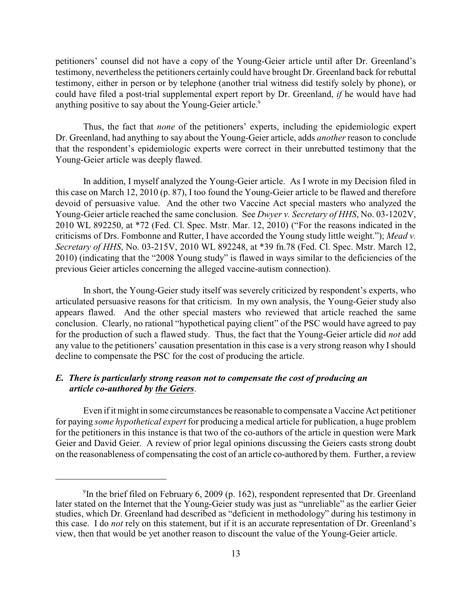petitioners' counsel did not have a copy of the Young-Geier article until after Dr. Greenland's testimony, nevertheless the petitioners certainly could have brought Dr. Greenland back for rebuttal testimony, either in person or by telephone (another trial witness did testify solely by phone), or could have filed a post-trial supplemental expert report by Dr. Greenland, *if* he would have had anything positive to say about the Young-Geier article.<sup>9</sup>

Thus, the fact that *none* of the petitioners' experts, including the epidemiologic expert Dr. Greenland, had anything to say about the Young-Geier article, adds *another* reason to conclude that the respondent's epidemiologic experts were correct in their unrebutted testimony that the Young-Geier article was deeply flawed.

In addition, I myself analyzed the Young-Geier article. As I wrote in my Decision filed in this case on March 12, 2010 (p. 87), I too found the Young-Geier article to be flawed and therefore devoid of persuasive value. And the other two Vaccine Act special masters who analyzed the Young-Geier article reached the same conclusion. See *Dwyer v. Secretary of HHS*, No. 03-1202V, 2010 WL 892250, at \*72 (Fed. Cl. Spec. Mstr. Mar. 12, 2010) ("For the reasons indicated in the criticisms of Drs. Fombonne and Rutter, I have accorded the Young study little weight."); *Mead v. Secretary of HHS*, No. 03-215V, 2010 WL 892248, at \*39 fn.78 (Fed. Cl. Spec. Mstr. March 12, 2010) (indicating that the "2008 Young study" is flawed in ways similar to the deficiencies of the previous Geier articles concerning the alleged vaccine-autism connection).

In short, the Young-Geier study itself was severely criticized by respondent's experts, who articulated persuasive reasons for that criticism. In my own analysis, the Young-Geier study also appears flawed. And the other special masters who reviewed that article reached the same conclusion. Clearly, no rational "hypothetical paying client" of the PSC would have agreed to pay for the production of such a flawed study. Thus, the fact that the Young-Geier article did *not* add any value to the petitioners' causation presentation in this case is a very strong reason why I should decline to compensate the PSC for the cost of producing the article.

# *E. There is particularly strong reason not to compensate the cost of producing an article co-authored by the Geiers*.

Even if it might in some circumstances be reasonable to compensate a Vaccine Act petitioner for paying *some hypothetical expert* for producing a medical article for publication, a huge problem for the petitioners in this instance is that two of the co-authors of the article in question were Mark Geier and David Geier. A review of prior legal opinions discussing the Geiers casts strong doubt on the reasonableness of compensating the cost of an article co-authored by them. Further, a review

<sup>&</sup>lt;sup>9</sup>In the brief filed on February 6, 2009 (p. 162), respondent represented that Dr. Greenland later stated on the Internet that the Young-Geier study was just as "unreliable" as the earlier Geier studies, which Dr. Greenland had described as "deficient in methodology" during his testimony in this case. I do *not* rely on this statement, but if it is an accurate representation of Dr. Greenland's view, then that would be yet another reason to discount the value of the Young-Geier article.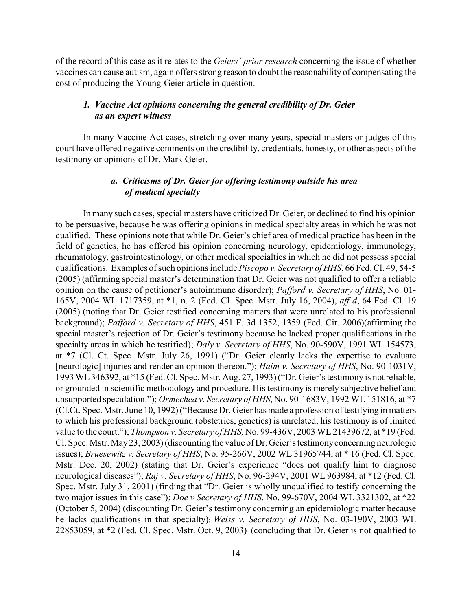of the record of this case as it relates to the *Geiers' prior research* concerning the issue of whether vaccines can cause autism, again offers strong reason to doubt the reasonability of compensating the cost of producing the Young-Geier article in question.

# *1. Vaccine Act opinions concerning the general credibility of Dr. Geier as an expert witness*

In many Vaccine Act cases, stretching over many years, special masters or judges of this court have offered negative comments on the credibility, credentials, honesty, or other aspects of the testimony or opinions of Dr. Mark Geier.

# *a. Criticisms of Dr. Geier for offering testimony outside his area of medical specialty*

In many such cases, special masters have criticized Dr. Geier, or declined to find his opinion to be persuasive, because he was offering opinions in medical specialty areas in which he was not qualified. These opinions note that while Dr. Geier's chief area of medical practice has been in the field of genetics, he has offered his opinion concerning neurology, epidemiology, immunology, rheumatology, gastrointestinology, or other medical specialties in which he did not possess special qualifications. Examples of such opinions include *Piscopo v. Secretary of HHS*, 66 Fed. Cl. 49, 54-5 (2005) (affirming special master's determination that Dr. Geier was not qualified to offer a reliable opinion on the cause of petitioner's autoimmune disorder); *Pafford v. Secretary of HHS*, No. 01- 165V, 2004 WL 1717359, at \*1, n. 2 (Fed. Cl. Spec. Mstr. July 16, 2004), *aff'd*, 64 Fed. Cl. 19 (2005) (noting that Dr. Geier testified concerning matters that were unrelated to his professional background); *Pafford v. Secretary of HHS*, 451 F. 3d 1352, 1359 (Fed. Cir. 2006)(affirming the special master's rejection of Dr. Geier's testimony because he lacked proper qualifications in the specialty areas in which he testified); *Daly v. Secretary of HHS*, No. 90-590V, 1991 WL 154573, at \*7 (Cl. Ct. Spec. Mstr. July 26, 1991) ("Dr. Geier clearly lacks the expertise to evaluate [neurologic] injuries and render an opinion thereon."); *Haim v. Secretary of HHS*, No. 90-1031V, 1993 WL346392, at \*15 (Fed. Cl. Spec. Mstr. Aug. 27, 1993) ("Dr. Geier's testimony is not reliable, or grounded in scientific methodology and procedure. His testimony is merely subjective belief and unsupported speculation."); *Ormechea v. Secretary of HHS*, No. 90-1683V, 1992 WL 151816, at \*7 (Cl.Ct. Spec. Mstr. June 10, 1992) ("Because Dr. Geier has made a profession of testifying in matters to which his professional background (obstetrics, genetics) is unrelated, his testimony is of limited value to the court."); *Thompson v. Secretary of HHS,* No. 99-436V, 2003 WL21439672, at \*19 (Fed. Cl. Spec. Mstr. May23, 2003) (discounting the value of Dr. Geier's testimonyconcerning neurologic issues); *Bruesewitz v. Secretary of HHS*, No. 95-266V, 2002 WL 31965744, at \* 16 (Fed. Cl. Spec. Mstr. Dec. 20, 2002) (stating that Dr. Geier's experience "does not qualify him to diagnose neurological diseases"); *Raj v. Secretary of HHS*, No. 96-294V, 2001 WL 963984, at \*12 (Fed. Cl. Spec. Mstr. July 31, 2001) (finding that "Dr. Geier is wholly unqualified to testify concerning the two major issues in this case"); *Doe v Secretary of HHS*, No. 99-670V, 2004 WL 3321302, at \*22 (October 5, 2004) (discounting Dr. Geier's testimony concerning an epidemiologic matter because he lacks qualifications in that specialty); *Weiss v. Secretary of HHS*, No. 03-190V, 2003 WL 22853059, at \*2 (Fed. Cl. Spec. Mstr. Oct. 9, 2003) (concluding that Dr. Geier is not qualified to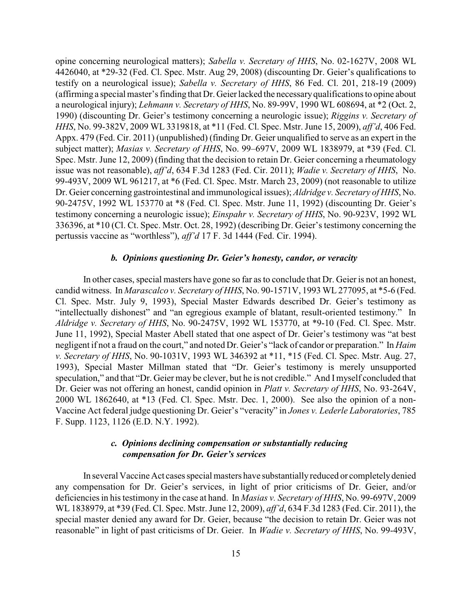opine concerning neurological matters); *Sabella v. Secretary of HHS*, No. 02-1627V, 2008 WL 4426040, at \*29-32 (Fed. Cl. Spec. Mstr. Aug 29, 2008) (discounting Dr. Geier's qualifications to testify on a neurological issue); *Sabella v. Secretary of HHS*, 86 Fed. Cl. 201, 218-19 (2009) (affirming a special master's finding that Dr. Geierlacked the necessaryqualifications to opine about a neurological injury); *Lehmann v. Secretary of HHS*, No. 89-99V, 1990 WL 608694, at \*2 (Oct. 2, 1990) (discounting Dr. Geier's testimony concerning a neurologic issue); *Riggins v. Secretary of HHS*, No. 99-382V, 2009 WL 3319818, at \*11 (Fed. Cl. Spec. Mstr. June 15, 2009), *aff'd*, 406 Fed. Appx. 479 (Fed. Cir. 2011) (unpublished) (finding Dr. Geier unqualified to serve as an expert in the subject matter); *Masias v. Secretary of HHS*, No. 99–697V, 2009 WL 1838979, at \*39 (Fed. Cl. Spec. Mstr. June 12, 2009) (finding that the decision to retain Dr. Geier concerning a rheumatology issue was not reasonable), *aff'd*, 634 F.3d 1283 (Fed. Cir. 2011); *Wadie v. Secretary of HHS*, No. 99-493V, 2009 WL 961217, at \*6 (Fed. Cl. Spec. Mstr. March 23, 2009) (not reasonable to utilize Dr. Geier concerning gastrointestinal and immunological issues); *Aldridge v. Secretary of HHS*, No. 90-2475V, 1992 WL 153770 at \*8 (Fed. Cl. Spec. Mstr. June 11, 1992) (discounting Dr. Geier's testimony concerning a neurologic issue); *Einspahr v. Secretary of HHS*, No. 90-923V, 1992 WL 336396, at \*10 (Cl. Ct. Spec. Mstr. Oct. 28, 1992) (describing Dr. Geier's testimony concerning the pertussis vaccine as "worthless"), *aff'd* 17 F. 3d 1444 (Fed. Cir. 1994).

## *b. Opinions questioning Dr. Geier's honesty, candor, or veracity*

In other cases, special masters have gone so far as to conclude that Dr. Geieris not an honest, candid witness. In *Marascalco v. Secretary of HHS*, No. 90-1571V, 1993 WL 277095, at \*5-6 (Fed. Cl. Spec. Mstr. July 9, 1993), Special Master Edwards described Dr. Geier's testimony as "intellectually dishonest" and "an egregious example of blatant, result-oriented testimony." In *Aldridge v. Secretary of HHS*, No. 90-2475V, 1992 WL 153770, at \*9-10 (Fed. Cl. Spec. Mstr. June 11, 1992), Special Master Abell stated that one aspect of Dr. Geier's testimony was "at best negligent if not a fraud on the court," and noted Dr. Geier's "lack of candor or preparation." In *Haim v. Secretary of HHS*, No. 90-1031V, 1993 WL 346392 at \*11, \*15 (Fed. Cl. Spec. Mstr. Aug. 27, 1993), Special Master Millman stated that "Dr. Geier's testimony is merely unsupported speculation," and that "Dr. Geier may be clever, but he is not credible." And Imyself concluded that Dr. Geier was not offering an honest, candid opinion in *Platt v. Secretary of HHS*, No. 93-264V, 2000 WL 1862640, at \*13 (Fed. Cl. Spec. Mstr. Dec. 1, 2000). See also the opinion of a non-Vaccine Act federal judge questioning Dr. Geier's "veracity" in *Jones v. Lederle Laboratories*, 785 F. Supp. 1123, 1126 (E.D. N.Y. 1992).

# *c. Opinions declining compensation or substantially reducing compensation for Dr. Geier's services*

In several Vaccine Act cases special masters have substantiallyreduced or completelydenied any compensation for Dr. Geier's services, in light of prior criticisms of Dr. Geier, and/or deficiencies in his testimony in the case at hand. In *Masias v. Secretary of HHS*, No. 99-697V, 2009 WL 1838979, at \*39 (Fed. Cl. Spec. Mstr. June 12, 2009), *aff'd*, 634 F.3d 1283 (Fed. Cir. 2011), the special master denied any award for Dr. Geier, because "the decision to retain Dr. Geier was not reasonable" in light of past criticisms of Dr. Geier. In *Wadie v. Secretary of HHS*, No. 99-493V,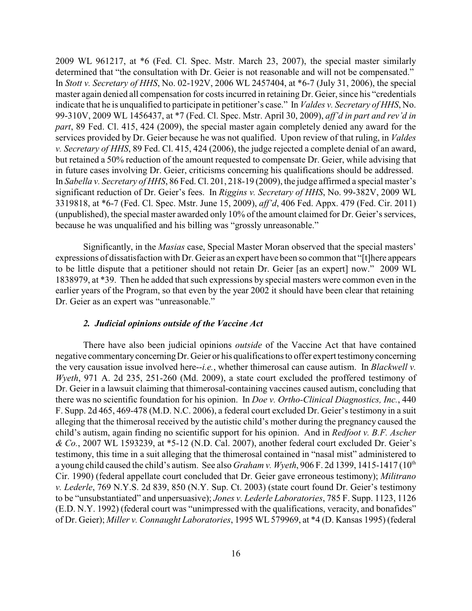2009 WL 961217, at \*6 (Fed. Cl. Spec. Mstr. March 23, 2007), the special master similarly determined that "the consultation with Dr. Geier is not reasonable and will not be compensated." In *Stott v. Secretary of HHS*, No. 02-192V, 2006 WL 2457404, at \*6-7 (July 31, 2006), the special master again denied all compensation for costs incurred in retaining Dr. Geier, since his "credentials indicate that he is unqualified to participate in petitioner's case." In *Valdes v. Secretary of HHS*, No. 99-310V, 2009 WL 1456437, at \*7 (Fed. Cl. Spec. Mstr. April 30, 2009), *aff'd in part and rev'd in part*, 89 Fed. Cl. 415, 424 (2009), the special master again completely denied any award for the services provided by Dr. Geier because he was not qualified. Upon review of that ruling, in *Valdes v. Secretary of HHS*, 89 Fed. Cl. 415, 424 (2006), the judge rejected a complete denial of an award, but retained a 50% reduction of the amount requested to compensate Dr. Geier, while advising that in future cases involving Dr. Geier, criticisms concerning his qualifications should be addressed. In *Sabella v. Secretary of HHS*, 86 Fed. Cl. 201, 218-19 (2009), the judge affirmed a special master's significant reduction of Dr. Geier's fees. In *Riggins v. Secretary of HHS*, No. 99-382V, 2009 WL 3319818, at \*6-7 (Fed. Cl. Spec. Mstr. June 15, 2009), *aff'd*, 406 Fed. Appx. 479 (Fed. Cir. 2011) (unpublished), the special master awarded only 10% of the amount claimed for Dr. Geier's services, because he was unqualified and his billing was "grossly unreasonable."

Significantly, in the *Masias* case, Special Master Moran observed that the special masters' expressions of dissatisfaction with Dr. Geier as an expert have been so common that "[t]here appears to be little dispute that a petitioner should not retain Dr. Geier [as an expert] now." 2009 WL 1838979, at \*39. Then he added that such expressions by special masters were common even in the earlier years of the Program, so that even by the year 2002 it should have been clear that retaining Dr. Geier as an expert was "unreasonable."

### *2. Judicial opinions outside of the Vaccine Act*

There have also been judicial opinions *outside* of the Vaccine Act that have contained negative commentaryconcerningDr. Geier or his qualifications to offer expert testimonyconcerning the very causation issue involved here--*i.e.*, whether thimerosal can cause autism. In *Blackwell v. Wyeth*, 971 A. 2d 235, 251-260 (Md. 2009), a state court excluded the proffered testimony of Dr. Geier in a lawsuit claiming that thimerosal-containing vaccines caused autism, concluding that there was no scientific foundation for his opinion. In *Doe v. Ortho-Clinical Diagnostics, Inc.*, 440 F. Supp. 2d 465, 469-478 (M.D. N.C. 2006), a federal court excluded Dr. Geier's testimony in a suit alleging that the thimerosal received by the autistic child's mother during the pregnancy caused the child's autism, again finding no scientific support for his opinion. And in *Redfoot v. B.F. Ascher & Co.*, 2007 WL 1593239, at \*5-12 (N.D. Cal. 2007), another federal court excluded Dr. Geier's testimony, this time in a suit alleging that the thimerosal contained in "nasal mist" administered to a young child caused the child's autism. See also *Graham v. Wyeth*, 906 F. 2d 1399, 1415-1417 (10<sup>th</sup>) Cir. 1990) (federal appellate court concluded that Dr. Geier gave erroneous testimony); *Militrano v. Lederle*, 769 N.Y.S. 2d 839, 850 (N.Y. Sup. Ct. 2003) (state court found Dr. Geier's testimony to be "unsubstantiated" and unpersuasive); *Jones v. Lederle Laboratories*, 785 F. Supp. 1123, 1126 (E.D. N.Y. 1992) (federal court was "unimpressed with the qualifications, veracity, and bonafides" of Dr. Geier); *Miller v. Connaught Laboratories*, 1995 WL 579969, at \*4 (D. Kansas 1995) (federal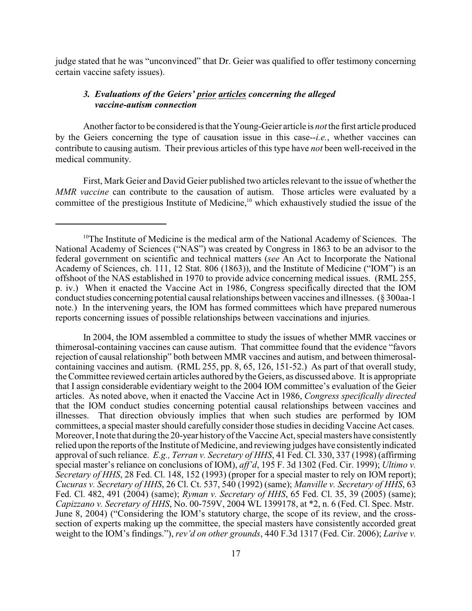judge stated that he was "unconvinced" that Dr. Geier was qualified to offer testimony concerning certain vaccine safety issues).

# *3. Evaluations of the Geiers' prior articles concerning the alleged vaccine-autism connection*

Another factor to be considered is that the Young-Geier article is *not* the first article produced by the Geiers concerning the type of causation issue in this case--*i.e.*, whether vaccines can contribute to causing autism. Their previous articles of this type have *not* been well-received in the medical community.

First, Mark Geier and David Geier published two articles relevant to the issue of whether the *MMR vaccine* can contribute to the causation of autism. Those articles were evaluated by a committee of the prestigious Institute of Medicine, $10$  which exhaustively studied the issue of the

In 2004, the IOM assembled a committee to study the issues of whether MMR vaccines or thimerosal-containing vaccines can cause autism. That committee found that the evidence "favors rejection of causal relationship" both between MMR vaccines and autism, and between thimerosalcontaining vaccines and autism. (RML 255, pp. 8, 65, 126, 151-52.) As part of that overall study, the Committee reviewed certain articles authored by the Geiers, as discussed above. It is appropriate that I assign considerable evidentiary weight to the 2004 IOM committee's evaluation of the Geier articles. As noted above, when it enacted the Vaccine Act in 1986, *Congress specifically directed* that the IOM conduct studies concerning potential causal relationships between vaccines and illnesses. That direction obviously implies that when such studies are performed by IOM committees, a special master should carefully consider those studies in deciding Vaccine Act cases. Moreover, I note that during the 20-year historyof the Vaccine Act, special masters have consistently relied upon the reports of the Institute of Medicine, and reviewing judges have consistently indicated approval of such reliance. *E.g., Terran v. Secretary of HHS*, 41 Fed. Cl. 330, 337 (1998) (affirming special master's reliance on conclusions of IOM), *aff'd*, 195 F. 3d 1302 (Fed. Cir. 1999); *Ultimo v. Secretary of HHS*, 28 Fed. Cl. 148, 152 (1993) (proper for a special master to rely on IOM report); *Cucuras v. Secretary of HHS*, 26 Cl. Ct. 537, 540 (1992) (same); *Manville v. Secretary of HHS*, 63 Fed. Cl. 482, 491 (2004) (same); *Ryman v. Secretary of HHS*, 65 Fed. Cl. 35, 39 (2005) (same); *Capizzano v. Secretary of HHS*, No. 00-759V, 2004 WL 1399178, at \*2, n. 6 (Fed. Cl. Spec. Mstr. June 8, 2004) ("Considering the IOM's statutory charge, the scope of its review, and the crosssection of experts making up the committee, the special masters have consistently accorded great weight to the IOM's findings."), *rev'd on other grounds*, 440 F.3d 1317 (Fed. Cir. 2006); *Larive v.*

 $10$ <sup>n</sup> The Institute of Medicine is the medical arm of the National Academy of Sciences. The National Academy of Sciences ("NAS") was created by Congress in 1863 to be an advisor to the federal government on scientific and technical matters (*see* An Act to Incorporate the National Academy of Sciences, ch. 111, 12 Stat. 806 (1863)), and the Institute of Medicine ("IOM") is an offshoot of the NAS established in 1970 to provide advice concerning medical issues. (RML 255, p. iv.) When it enacted the Vaccine Act in 1986, Congress specifically directed that the IOM conduct studies concerning potential causal relationships between vaccines and illnesses. (§ 300aa-1 note.) In the intervening years, the IOM has formed committees which have prepared numerous reports concerning issues of possible relationships between vaccinations and injuries.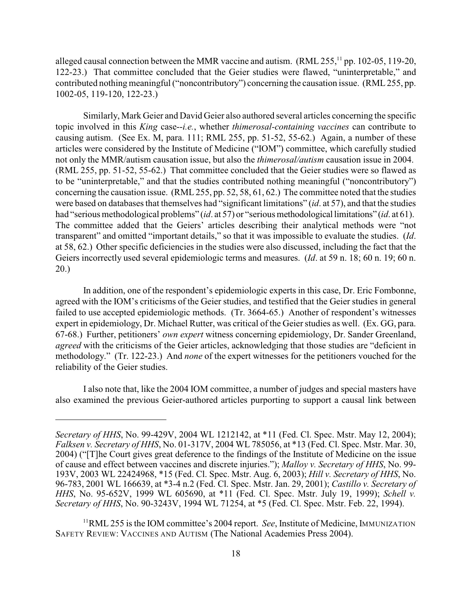alleged causal connection between the MMR vaccine and autism.  $(RML 255, 11$  pp. 102-05, 119-20, 122-23.) That committee concluded that the Geier studies were flawed, "uninterpretable," and contributed nothing meaningful ("noncontributory") concerning the causation issue. (RML255, pp. 1002-05, 119-120, 122-23.)

Similarly, Mark Geier and David Geier also authored several articles concerning the specific topic involved in this *King* case--*i.e.*, whether *thimerosal-containing vaccines* can contribute to causing autism. (See Ex. M, para. 111; RML 255, pp. 51-52, 55-62.) Again, a number of these articles were considered by the Institute of Medicine ("IOM") committee, which carefully studied not only the MMR/autism causation issue, but also the *thimerosal/autism* causation issue in 2004. (RML 255, pp. 51-52, 55-62.) That committee concluded that the Geier studies were so flawed as to be "uninterpretable," and that the studies contributed nothing meaningful ("noncontributory") concerning the causation issue. (RML255, pp. 52, 58, 61, 62.) The committee noted that the studies were based on databases that themselves had "significant limitations" (*id*. at 57), and that the studies had "serious methodological problems" (*id*. at 57) or "serious methodological limitations" (*id*. at 61). The committee added that the Geiers' articles describing their analytical methods were "not transparent" and omitted "important details," so that it was impossible to evaluate the studies. (*Id*. at 58, 62.) Other specific deficiencies in the studies were also discussed, including the fact that the Geiers incorrectly used several epidemiologic terms and measures. (*Id*. at 59 n. 18; 60 n. 19; 60 n. 20.)

In addition, one of the respondent's epidemiologic experts in this case, Dr. Eric Fombonne, agreed with the IOM's criticisms of the Geier studies, and testified that the Geier studies in general failed to use accepted epidemiologic methods. (Tr. 3664-65.) Another of respondent's witnesses expert in epidemiology, Dr. Michael Rutter, was critical of the Geier studies as well. (Ex. GG, para.) 67-68.) Further, petitioners' *own expert* witness concerning epidemiology, Dr. Sander Greenland, *agreed* with the criticisms of the Geier articles, acknowledging that those studies are "deficient in methodology." (Tr. 122-23.) And *none* of the expert witnesses for the petitioners vouched for the reliability of the Geier studies.

I also note that, like the 2004 IOM committee, a number of judges and special masters have also examined the previous Geier-authored articles purporting to support a causal link between

*Secretary of HHS*, No. 99-429V, 2004 WL 1212142, at \*11 (Fed. Cl. Spec. Mstr. May 12, 2004); *Falksen v. Secretary of HHS*, No. 01-317V, 2004 WL 785056, at \*13 (Fed. Cl. Spec. Mstr. Mar. 30, 2004) ("[T]he Court gives great deference to the findings of the Institute of Medicine on the issue of cause and effect between vaccines and discrete injuries."); *Malloy v. Secretary of HHS*, No. 99- 193V, 2003 WL 22424968, \*15 (Fed. Cl. Spec. Mstr. Aug. 6, 2003); *Hill v. Secretary of HHS*, No. 96-783, 2001 WL 166639, at \*3-4 n.2 (Fed. Cl. Spec. Mstr. Jan. 29, 2001); *Castillo v. Secretary of HHS*, No. 95-652V, 1999 WL 605690, at \*11 (Fed. Cl. Spec. Mstr. July 19, 1999); *Schell v. Secretary of HHS*, No. 90-3243V, 1994 WL 71254, at \*5 (Fed. Cl. Spec. Mstr. Feb. 22, 1994).

<sup>&</sup>lt;sup>11</sup>RML 255 is the IOM committee's 2004 report. See, Institute of Medicine, IMMUNIZATION SAFETY REVIEW: VACCINES AND AUTISM (The National Academies Press 2004).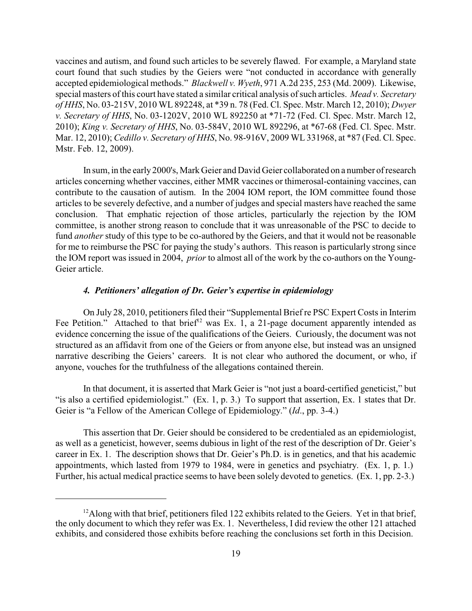vaccines and autism, and found such articles to be severely flawed. For example, a Maryland state court found that such studies by the Geiers were "not conducted in accordance with generally accepted epidemiological methods." *Blackwell v. Wyeth*, 971 A.2d 235, 253 (Md. 2009). Likewise, special masters of this court have stated a similar critical analysis of such articles. *Mead v. Secretary of HHS*, No. 03-215V, 2010 WL 892248, at \*39 n. 78 (Fed. Cl. Spec. Mstr. March 12, 2010); *Dwyer v. Secretary of HHS*, No. 03-1202V, 2010 WL 892250 at \*71-72 (Fed. Cl. Spec. Mstr. March 12, 2010); *King v. Secretary of HHS*, No. 03-584V, 2010 WL 892296, at \*67-68 (Fed. Cl. Spec. Mstr. Mar. 12, 2010); *Cedillo v. Secretary of HHS*, No. 98-916V, 2009 WL 331968, at \*87 (Fed. Cl. Spec. Mstr. Feb. 12, 2009).

In sum, in the early 2000's, Mark Geier and David Geier collaborated on a number of research articles concerning whether vaccines, either MMR vaccines or thimerosal-containing vaccines, can contribute to the causation of autism. In the 2004 IOM report, the IOM committee found those articles to be severely defective, and a number of judges and special masters have reached the same conclusion. That emphatic rejection of those articles, particularly the rejection by the IOM committee, is another strong reason to conclude that it was unreasonable of the PSC to decide to fund *another* study of this type to be co-authored by the Geiers, and that it would not be reasonable for me to reimburse the PSC for paying the study's authors. This reason is particularly strong since the IOM report was issued in 2004, *prior* to almost all of the work by the co-authors on the Young-Geier article.

# *4. Petitioners' allegation of Dr. Geier's expertise in epidemiology*

On July 28, 2010, petitioners filed their "Supplemental Brief re PSC Expert Costs in Interim Fee Petition." Attached to that brief<sup>12</sup> was Ex. 1, a 21-page document apparently intended as evidence concerning the issue of the qualifications of the Geiers. Curiously, the document was not structured as an affidavit from one of the Geiers or from anyone else, but instead was an unsigned narrative describing the Geiers' careers. It is not clear who authored the document, or who, if anyone, vouches for the truthfulness of the allegations contained therein.

In that document, it is asserted that Mark Geier is "not just a board-certified geneticist," but "is also a certified epidemiologist." (Ex. 1, p. 3.) To support that assertion, Ex. 1 states that Dr. Geier is "a Fellow of the American College of Epidemiology." (*Id*., pp. 3-4.)

This assertion that Dr. Geier should be considered to be credentialed as an epidemiologist, as well as a geneticist, however, seems dubious in light of the rest of the description of Dr. Geier's career in Ex. 1. The description shows that Dr. Geier's Ph.D. is in genetics, and that his academic appointments, which lasted from 1979 to 1984, were in genetics and psychiatry. (Ex. 1, p. 1.) Further, his actual medical practice seems to have been solely devoted to genetics. (Ex. 1, pp. 2-3.)

 $^{12}$ Along with that brief, petitioners filed 122 exhibits related to the Geiers. Yet in that brief, the only document to which they refer was Ex. 1. Nevertheless, I did review the other 121 attached exhibits, and considered those exhibits before reaching the conclusions set forth in this Decision.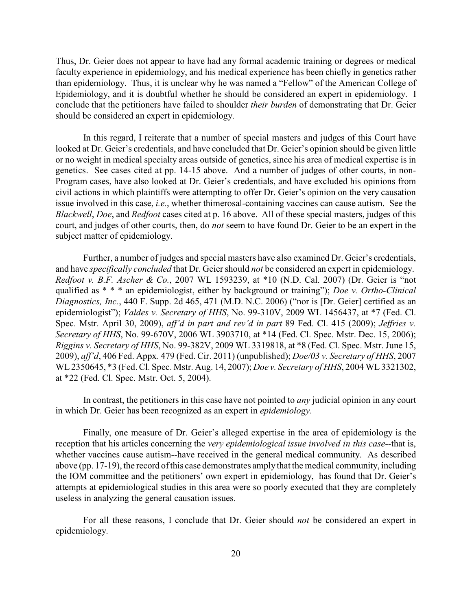Thus, Dr. Geier does not appear to have had any formal academic training or degrees or medical faculty experience in epidemiology, and his medical experience has been chiefly in genetics rather than epidemiology. Thus, it is unclear why he was named a "Fellow" of the American College of Epidemiology, and it is doubtful whether he should be considered an expert in epidemiology. I conclude that the petitioners have failed to shoulder *their burden* of demonstrating that Dr. Geier should be considered an expert in epidemiology.

In this regard, I reiterate that a number of special masters and judges of this Court have looked at Dr. Geier's credentials, and have concluded that Dr. Geier's opinion should be given little or no weight in medical specialty areas outside of genetics, since his area of medical expertise is in genetics. See cases cited at pp. 14-15 above. And a number of judges of other courts, in non-Program cases, have also looked at Dr. Geier's credentials, and have excluded his opinions from civil actions in which plaintiffs were attempting to offer Dr. Geier's opinion on the very causation issue involved in this case, *i.e.*, whether thimerosal-containing vaccines can cause autism. See the *Blackwell*, *Doe*, and *Redfoot* cases cited at p. 16 above. All of these special masters, judges of this court, and judges of other courts, then, do *not* seem to have found Dr. Geier to be an expert in the subject matter of epidemiology.

Further, a number of judges and special masters have also examined Dr. Geier's credentials, and have *specifically concluded* that Dr. Geier should *not* be considered an expert in epidemiology. *Redfoot v. B.F. Ascher & Co.*, 2007 WL 1593239, at \*10 (N.D. Cal. 2007) (Dr. Geier is "not qualified as \* \* \* an epidemiologist, either by background or training"); *Doe v. Ortho-Clinical Diagnostics, Inc.*, 440 F. Supp. 2d 465, 471 (M.D. N.C. 2006) ("nor is [Dr. Geier] certified as an epidemiologist"); *Valdes v. Secretary of HHS*, No. 99-310V, 2009 WL 1456437, at \*7 (Fed. Cl. Spec. Mstr. April 30, 2009), *aff'd in part and rev'd in part* 89 Fed. Cl. 415 (2009); *Jeffries v. Secretary of HHS*, No. 99-670V, 2006 WL 3903710, at \*14 (Fed. Cl. Spec. Mstr. Dec. 15, 2006); *Riggins v. Secretary of HHS*, No. 99-382V, 2009 WL 3319818, at \*8 (Fed. Cl. Spec. Mstr. June 15, 2009), *aff'd*, 406 Fed. Appx. 479 (Fed. Cir. 2011) (unpublished); *Doe/03 v. Secretary of HHS*, 2007 WL2350645, \*3 (Fed. Cl. Spec. Mstr. Aug. 14, 2007); *Doe v. Secretary of HHS*, 2004 WL 3321302, at \*22 (Fed. Cl. Spec. Mstr. Oct. 5, 2004).

In contrast, the petitioners in this case have not pointed to *any* judicial opinion in any court in which Dr. Geier has been recognized as an expert in *epidemiology*.

Finally, one measure of Dr. Geier's alleged expertise in the area of epidemiology is the reception that his articles concerning the *very epidemiological issue involved in this case*--that is, whether vaccines cause autism--have received in the general medical community. As described above (pp. 17-19), the record of this case demonstrates amplythat the medical community, including the IOM committee and the petitioners' own expert in epidemiology, has found that Dr. Geier's attempts at epidemiological studies in this area were so poorly executed that they are completely useless in analyzing the general causation issues.

For all these reasons, I conclude that Dr. Geier should *not* be considered an expert in epidemiology.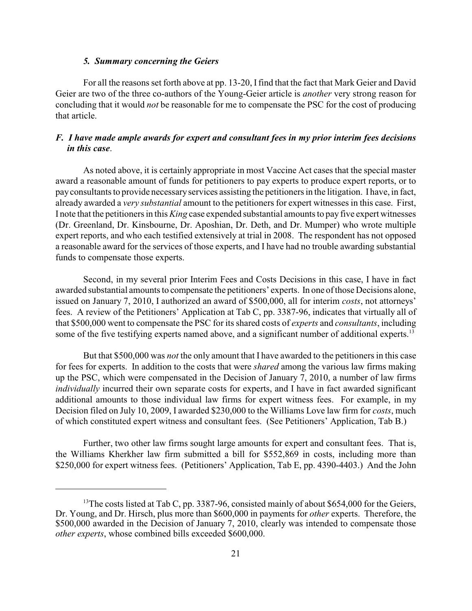#### *5. Summary concerning the Geiers*

For all the reasons set forth above at pp. 13-20, Ifind that the fact that Mark Geier and David Geier are two of the three co-authors of the Young-Geier article is *another* very strong reason for concluding that it would *not* be reasonable for me to compensate the PSC for the cost of producing that article.

# *F. I have made ample awards for expert and consultant fees in my prior interim fees decisions in this case*.

As noted above, it is certainly appropriate in most Vaccine Act cases that the special master award a reasonable amount of funds for petitioners to pay experts to produce expert reports, or to payconsultants to provide necessaryservices assisting the petitioners in the litigation. I have, in fact, already awarded a *very substantial* amount to the petitioners for expert witnesses in this case. First, I note that the petitioners in this *King* case expended substantial amounts to pay five expert witnesses (Dr. Greenland, Dr. Kinsbourne, Dr. Aposhian, Dr. Deth, and Dr. Mumper) who wrote multiple expert reports, and who each testified extensively at trial in 2008. The respondent has not opposed a reasonable award for the services of those experts, and I have had no trouble awarding substantial funds to compensate those experts.

Second, in my several prior Interim Fees and Costs Decisions in this case, I have in fact awarded substantial amounts to compensate the petitioners' experts. In one of those Decisions alone, issued on January 7, 2010, I authorized an award of \$500,000, all for interim *costs*, not attorneys' fees. A review of the Petitioners' Application at Tab C, pp. 3387-96, indicates that virtually all of that \$500,000 went to compensate the PSC for its shared costs of *experts* and *consultants*, including some of the five testifying experts named above, and a significant number of additional experts.<sup>13</sup>

But that \$500,000 was *not* the only amount that I have awarded to the petitioners in this case for fees for experts. In addition to the costs that were *shared* among the various law firms making up the PSC, which were compensated in the Decision of January 7, 2010, a number of law firms *individually* incurred their own separate costs for experts, and I have in fact awarded significant additional amounts to those individual law firms for expert witness fees. For example, in my Decision filed on July 10, 2009, I awarded \$230,000 to the Williams Love law firm for *costs*, much of which constituted expert witness and consultant fees. (See Petitioners' Application, Tab B.)

Further, two other law firms sought large amounts for expert and consultant fees. That is, the Williams Kherkher law firm submitted a bill for \$552,869 in costs, including more than \$250,000 for expert witness fees. (Petitioners' Application, Tab E, pp. 4390-4403.) And the John

<sup>&</sup>lt;sup>13</sup>The costs listed at Tab C, pp. 3387-96, consisted mainly of about \$654,000 for the Geiers, Dr. Young, and Dr. Hirsch, plus more than \$600,000 in payments for *other* experts. Therefore, the \$500,000 awarded in the Decision of January 7, 2010, clearly was intended to compensate those *other experts*, whose combined bills exceeded \$600,000.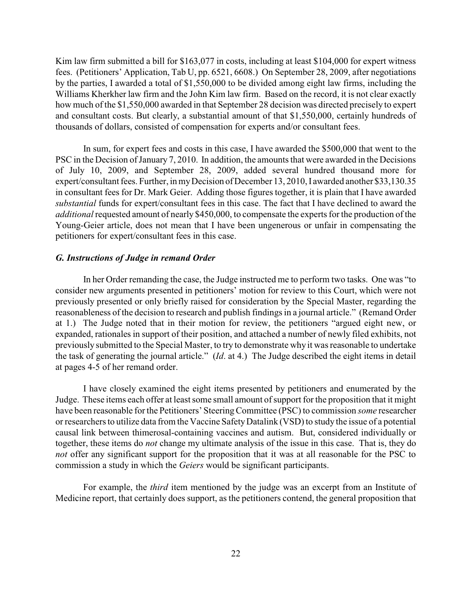Kim law firm submitted a bill for \$163,077 in costs, including at least \$104,000 for expert witness fees. (Petitioners' Application, Tab U, pp. 6521, 6608.) On September 28, 2009, after negotiations by the parties, I awarded a total of \$1,550,000 to be divided among eight law firms, including the Williams Kherkher law firm and the John Kim law firm. Based on the record, it is not clear exactly how much of the \$1,550,000 awarded in that September 28 decision was directed precisely to expert and consultant costs. But clearly, a substantial amount of that \$1,550,000, certainly hundreds of thousands of dollars, consisted of compensation for experts and/or consultant fees.

In sum, for expert fees and costs in this case, I have awarded the \$500,000 that went to the PSC in the Decision of January 7, 2010. In addition, the amounts that were awarded in the Decisions of July 10, 2009, and September 28, 2009, added several hundred thousand more for expert/consultant fees. Further, in myDecision of December 13, 2010, I awarded another \$33,130.35 in consultant fees for Dr. Mark Geier. Adding those figures together, it is plain that I have awarded *substantial* funds for expert/consultant fees in this case. The fact that I have declined to award the *additional* requested amount of nearly \$450,000, to compensate the experts for the production of the Young-Geier article, does not mean that I have been ungenerous or unfair in compensating the petitioners for expert/consultant fees in this case.

#### *G. Instructions of Judge in remand Order*

In her Order remanding the case, the Judge instructed me to perform two tasks. One was "to consider new arguments presented in petitioners' motion for review to this Court, which were not previously presented or only briefly raised for consideration by the Special Master, regarding the reasonableness of the decision to research and publish findings in a journal article." (Remand Order at 1.) The Judge noted that in their motion for review, the petitioners "argued eight new, or expanded, rationales in support of their position, and attached a number of newly filed exhibits, not previously submitted to the Special Master, to try to demonstrate why it was reasonable to undertake the task of generating the journal article." (*Id*. at 4.) The Judge described the eight items in detail at pages 4-5 of her remand order.

I have closely examined the eight items presented by petitioners and enumerated by the Judge. These items each offer at least some small amount of support for the proposition that it might have been reasonable for the Petitioners' SteeringCommittee (PSC) to commission *some* researcher or researchers to utilize data from the Vaccine SafetyDatalink (VSD) to study the issue of a potential causal link between thimerosal-containing vaccines and autism. But, considered individually or together, these items do *not* change my ultimate analysis of the issue in this case. That is, they do *not* offer any significant support for the proposition that it was at all reasonable for the PSC to commission a study in which the *Geiers* would be significant participants.

For example, the *third* item mentioned by the judge was an excerpt from an Institute of Medicine report, that certainly does support, as the petitioners contend, the general proposition that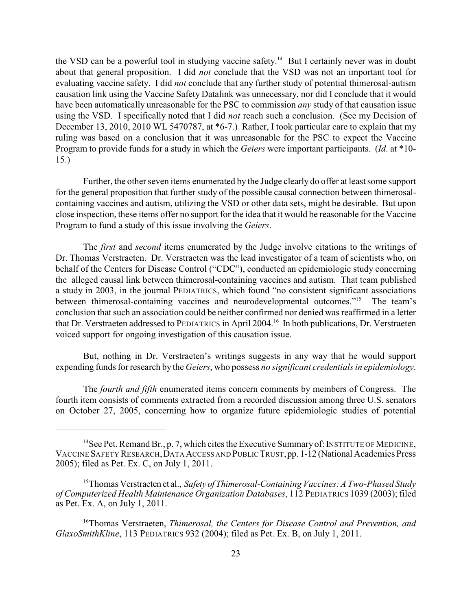the VSD can be a powerful tool in studying vaccine safety.<sup>14</sup> But I certainly never was in doubt about that general proposition. I did *not* conclude that the VSD was not an important tool for evaluating vaccine safety. I did *not* conclude that any further study of potential thimerosal-autism causation link using the Vaccine Safety Datalink was unnecessary, nor did I conclude that it would have been automatically unreasonable for the PSC to commission *any* study of that causation issue using the VSD. I specifically noted that I did *not* reach such a conclusion. (See my Decision of December 13, 2010, 2010 WL 5470787, at \*6-7.) Rather, I took particular care to explain that my ruling was based on a conclusion that it was unreasonable for the PSC to expect the Vaccine Program to provide funds for a study in which the *Geiers* were important participants. (*Id*. at \*10- 15.)

Further, the other seven items enumerated by the Judge clearly do offer at least some support for the general proposition that further study of the possible causal connection between thimerosalcontaining vaccines and autism, utilizing the VSD or other data sets, might be desirable. But upon close inspection, these items offer no support for the idea that it would be reasonable for the Vaccine Program to fund a study of this issue involving the *Geiers*.

The *first* and *second* items enumerated by the Judge involve citations to the writings of Dr. Thomas Verstraeten. Dr. Verstraeten was the lead investigator of a team of scientists who, on behalf of the Centers for Disease Control ("CDC"), conducted an epidemiologic study concerning the alleged causal link between thimerosal-containing vaccines and autism. That team published a study in 2003, in the journal PEDIATRICS, which found "no consistent significant associations between thimerosal-containing vaccines and neurodevelopmental outcomes."<sup>15</sup> The team's conclusion that such an association could be neither confirmed nor denied was reaffirmed in a letter that Dr. Verstraeten addressed to PEDIATRICS in April 2004.<sup>16</sup> In both publications, Dr. Verstraeten voiced support for ongoing investigation of this causation issue.

But, nothing in Dr. Verstraeten's writings suggests in any way that he would support expending funds for research by the *Geiers*, who possess *no significant credentials in epidemiology*.

The *fourth and fifth* enumerated items concern comments by members of Congress. The fourth item consists of comments extracted from a recorded discussion among three U.S. senators on October 27, 2005, concerning how to organize future epidemiologic studies of potential

<sup>&</sup>lt;sup>14</sup> See Pet. Remand Br., p. 7, which cites the Executive Summary of: INSTITUTE OF MEDICINE, VACCINE SAFETY RESEARCH,DATA ACCESS AND PUBLIC TRUST,pp. 1-12 (National Academies Press 2005); filed as Pet. Ex. C, on July 1, 2011.

<sup>&</sup>lt;sup>15</sup> Thomas Verstraeten et al., *Safety of Thimerosal-Containing Vaccines: A Two-Phased Study of Computerized Health Maintenance Organization Databases*, 112 PEDIATRICS 1039 (2003); filed as Pet. Ex. A, on July 1, 2011.

<sup>&</sup>lt;sup>16</sup>Thomas Verstraeten, *Thimerosal, the Centers for Disease Control and Prevention, and GlaxoSmithKline*, 113 PEDIATRICS 932 (2004); filed as Pet. Ex. B, on July 1, 2011.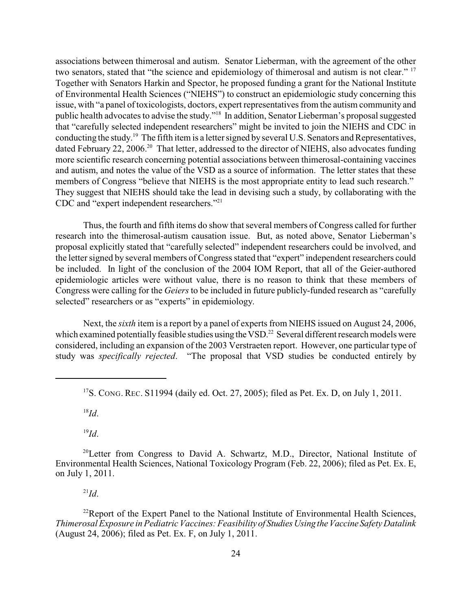associations between thimerosal and autism. Senator Lieberman, with the agreement of the other two senators, stated that "the science and epidemiology of thimerosal and autism is not clear." <sup>17</sup> Together with Senators Harkin and Spector, he proposed funding a grant for the National Institute of Environmental Health Sciences ("NIEHS") to construct an epidemiologic study concerning this issue, with "a panel of toxicologists, doctors, expert representatives from the autism community and public health advocates to advise the study."<sup>18</sup> In addition, Senator Lieberman's proposal suggested that "carefully selected independent researchers" might be invited to join the NIEHS and CDC in conducting the study.<sup>19</sup> The fifth item is a letter signed by several U.S. Senators and Representatives, dated February 22, 2006.<sup>20</sup> That letter, addressed to the director of NIEHS, also advocates funding more scientific research concerning potential associations between thimerosal-containing vaccines and autism, and notes the value of the VSD as a source of information. The letter states that these members of Congress "believe that NIEHS is the most appropriate entity to lead such research." They suggest that NIEHS should take the lead in devising such a study, by collaborating with the CDC and "expert independent researchers."<sup>21</sup>

Thus, the fourth and fifth items do show that several members of Congress called for further research into the thimerosal-autism causation issue. But, as noted above, Senator Lieberman's proposal explicitly stated that "carefully selected" independent researchers could be involved, and the letter signed by several members of Congress stated that "expert" independent researchers could be included. In light of the conclusion of the 2004 IOM Report, that all of the Geier-authored epidemiologic articles were without value, there is no reason to think that these members of Congress were calling for the *Geiers* to be included in future publicly-funded research as "carefully selected" researchers or as "experts" in epidemiology.

Next, the *sixth* item is a report by a panel of experts from NIEHS issued on August 24, 2006, which examined potentially feasible studies using the VSD.<sup>22</sup> Several different research models were considered, including an expansion of the 2003 Verstraeten report. However, one particular type of study was *specifically rejected*. "The proposal that VSD studies be conducted entirely by

 $^{18}Id.$ 

 $^{19}Id.$ 

<sup>20</sup>Letter from Congress to David A. Schwartz, M.D., Director, National Institute of Environmental Health Sciences, National Toxicology Program (Feb. 22, 2006); filed as Pet. Ex. E, on July 1, 2011.

 $\mu$ <sup>21</sup>*Id*.

 $22$ Report of the Expert Panel to the National Institute of Environmental Health Sciences, *Thimerosal Exposure in Pediatric Vaccines: Feasibility of StudiesUsing theVaccine Safety Datalink* (August 24, 2006); filed as Pet. Ex. F, on July 1, 2011.

<sup>&</sup>lt;sup>17</sup>S. CONG. REC. S11994 (daily ed. Oct. 27, 2005); filed as Pet. Ex. D, on July 1, 2011.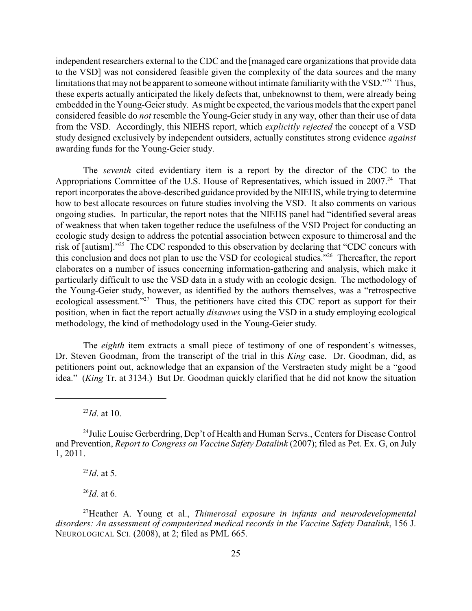independent researchers external to the CDC and the [managed care organizations that provide data to the VSD] was not considered feasible given the complexity of the data sources and the many limitations that may not be apparent to someone without intimate familiarity with the VSD."<sup>23</sup> Thus, these experts actually anticipated the likely defects that, unbeknownst to them, were already being embedded in the Young-Geier study. As might be expected, the various models that the expert panel considered feasible do *not* resemble the Young-Geier study in any way, other than their use of data from the VSD. Accordingly, this NIEHS report, which *explicitly rejected* the concept of a VSD study designed exclusively by independent outsiders, actually constitutes strong evidence *against* awarding funds for the Young-Geier study.

The *seventh* cited evidentiary item is a report by the director of the CDC to the Appropriations Committee of the U.S. House of Representatives, which issued in 2007.<sup>24</sup> That report incorporates the above-described guidance provided by the NIEHS, while trying to determine how to best allocate resources on future studies involving the VSD. It also comments on various ongoing studies. In particular, the report notes that the NIEHS panel had "identified several areas of weakness that when taken together reduce the usefulness of the VSD Project for conducting an ecologic study design to address the potential association between exposure to thimerosal and the risk of [autism]."<sup>25</sup> The CDC responded to this observation by declaring that "CDC concurs with this conclusion and does not plan to use the VSD for ecological studies."<sup>26</sup> Thereafter, the report elaborates on a number of issues concerning information-gathering and analysis, which make it particularly difficult to use the VSD data in a study with an ecologic design. The methodology of the Young-Geier study, however, as identified by the authors themselves, was a "retrospective ecological assessment."<sup>27</sup> Thus, the petitioners have cited this CDC report as support for their position, when in fact the report actually *disavows* using the VSD in a study employing ecological methodology, the kind of methodology used in the Young-Geier study.

The *eighth* item extracts a small piece of testimony of one of respondent's witnesses, Dr. Steven Goodman, from the transcript of the trial in this *King* case. Dr. Goodman, did, as petitioners point out, acknowledge that an expansion of the Verstraeten study might be a "good idea." (*King* Tr. at 3134.) But Dr. Goodman quickly clarified that he did not know the situation

 $^{25}Id$ . at 5.

 $^{26}$ *Id*. at 6.

 $^{23}Id$ . at 10.

<sup>&</sup>lt;sup>24</sup> Julie Louise Gerberdring, Dep't of Health and Human Servs., Centers for Disease Control and Prevention, *Report to Congress on Vaccine Safety Datalink* (2007); filed as Pet. Ex. G, on July 1, 2011.

Heather A. Young et al., *Thimerosal exposure in infants and neurodevelopmental* <sup>27</sup> *disorders: An assessment of computerized medical records in the Vaccine Safety Datalink*, 156 J. NEUROLOGICAL SCI. (2008), at 2; filed as PML 665.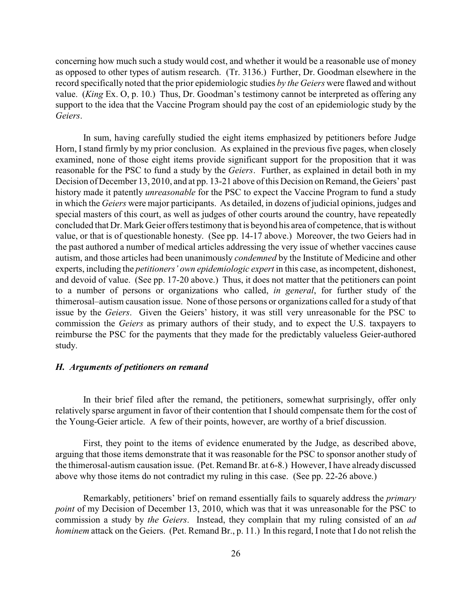concerning how much such a study would cost, and whether it would be a reasonable use of money as opposed to other types of autism research. (Tr. 3136.) Further, Dr. Goodman elsewhere in the record specifically noted that the prior epidemiologic studies *by the Geiers* were flawed and without value. (*King* Ex. O, p. 10.) Thus, Dr. Goodman's testimony cannot be interpreted as offering any support to the idea that the Vaccine Program should pay the cost of an epidemiologic study by the *Geiers*.

In sum, having carefully studied the eight items emphasized by petitioners before Judge Horn, Istand firmly by my prior conclusion. As explained in the previous five pages, when closely examined, none of those eight items provide significant support for the proposition that it was reasonable for the PSC to fund a study by the *Geiers*. Further, as explained in detail both in my Decision of December 13, 2010, and at pp. 13-21 above of this Decision on Remand, the Geiers' past history made it patently *unreasonable* for the PSC to expect the Vaccine Program to fund a study in which the *Geiers* were major participants. As detailed, in dozens of judicial opinions, judges and special masters of this court, as well as judges of other courts around the country, have repeatedly concluded that Dr. Mark Geier offers testimony that is beyond his area of competence, that is without value, or that is of questionable honesty. (See pp. 14-17 above.) Moreover, the two Geiers had in the past authored a number of medical articles addressing the very issue of whether vaccines cause autism, and those articles had been unanimously *condemned* by the Institute of Medicine and other experts, including the *petitioners' own epidemiologic expert* in this case, as incompetent, dishonest, and devoid of value. (See pp. 17-20 above.) Thus, it does not matter that the petitioners can point to a number of persons or organizations who called, *in general*, for further study of the thimerosal–autism causation issue. None of those persons or organizations called for a study of that issue by the *Geiers*. Given the Geiers' history, it was still very unreasonable for the PSC to commission the *Geiers* as primary authors of their study, and to expect the U.S. taxpayers to reimburse the PSC for the payments that they made for the predictably valueless Geier-authored study.

## *H. Arguments of petitioners on remand*

In their brief filed after the remand, the petitioners, somewhat surprisingly, offer only relatively sparse argument in favor of their contention that Ishould compensate them for the cost of the Young-Geier article. A few of their points, however, are worthy of a brief discussion.

First, they point to the items of evidence enumerated by the Judge, as described above, arguing that those items demonstrate that it was reasonable for the PSC to sponsor another study of the thimerosal-autism causation issue. (Pet. Remand Br. at 6-8.) However, I have already discussed above why those items do not contradict my ruling in this case. (See pp. 22-26 above.)

Remarkably, petitioners' brief on remand essentially fails to squarely address the *primary point* of my Decision of December 13, 2010, which was that it was unreasonable for the PSC to commission a study by *the Geiers*. Instead, they complain that my ruling consisted of an *ad hominem* attack on the Geiers. (Pet. Remand Br., p. 11.) In this regard, I note that I do not relish the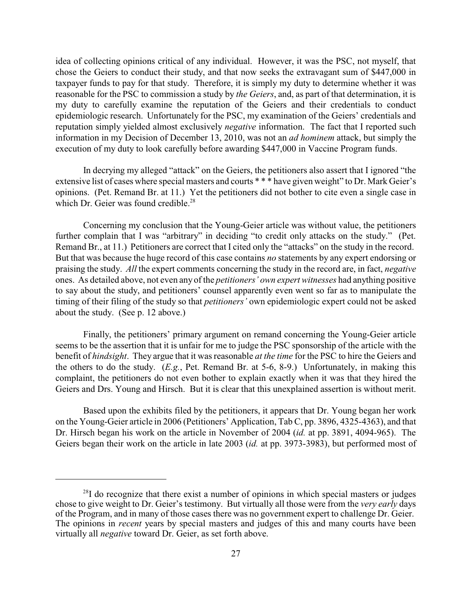idea of collecting opinions critical of any individual. However, it was the PSC, not myself, that chose the Geiers to conduct their study, and that now seeks the extravagant sum of \$447,000 in taxpayer funds to pay for that study. Therefore, it is simply my duty to determine whether it was reasonable for the PSC to commission a study by *the Geiers*, and, as part of that determination, it is my duty to carefully examine the reputation of the Geiers and their credentials to conduct epidemiologic research. Unfortunately for the PSC, my examination of the Geiers' credentials and reputation simply yielded almost exclusively *negative* information. The fact that I reported such information in my Decision of December 13, 2010, was not an *ad hominem* attack, but simply the execution of my duty to look carefully before awarding \$447,000 in Vaccine Program funds.

In decrying my alleged "attack" on the Geiers, the petitioners also assert that I ignored "the extensive list of cases where special masters and courts \* \* \* have given weight" to Dr. Mark Geier's opinions. (Pet. Remand Br. at 11.) Yet the petitioners did not bother to cite even a single case in which Dr. Geier was found credible.<sup>28</sup>

Concerning my conclusion that the Young-Geier article was without value, the petitioners further complain that I was "arbitrary" in deciding "to credit only attacks on the study." (Pet. Remand Br., at 11.) Petitioners are correct that I cited only the "attacks" on the study in the record. But that was because the huge record of this case contains *no* statements by any expert endorsing or praising the study. *All* the expert comments concerning the study in the record are, in fact, *negative* ones. As detailed above, not even any of the *petitioners' own expert witnesses* had anything positive to say about the study, and petitioners' counsel apparently even went so far as to manipulate the timing of their filing of the study so that *petitioners'* own epidemiologic expert could not be asked about the study. (See p. 12 above.)

Finally, the petitioners' primary argument on remand concerning the Young-Geier article seems to be the assertion that it is unfair for me to judge the PSC sponsorship of the article with the benefit of *hindsight*. They argue that it was reasonable *at the time* for the PSC to hire the Geiers and the others to do the study. (*E.g.*, Pet. Remand Br. at 5-6, 8-9.) Unfortunately, in making this complaint, the petitioners do not even bother to explain exactly when it was that they hired the Geiers and Drs. Young and Hirsch. But it is clear that this unexplained assertion is without merit.

Based upon the exhibits filed by the petitioners, it appears that Dr. Young began her work on the Young-Geier article in 2006 (Petitioners' Application, Tab C, pp. 3896, 4325-4363), and that Dr. Hirsch began his work on the article in November of 2004 (*id.* at pp. 3891, 4094-965). The Geiers began their work on the article in late 2003 (*id.* at pp. 3973-3983), but performed most of

 $2^{8}$ I do recognize that there exist a number of opinions in which special masters or judges chose to give weight to Dr. Geier's testimony. But virtually all those were from the *very early* days of the Program, and in many of those cases there was no government expert to challenge Dr. Geier. The opinions in *recent* years by special masters and judges of this and many courts have been virtually all *negative* toward Dr. Geier, as set forth above.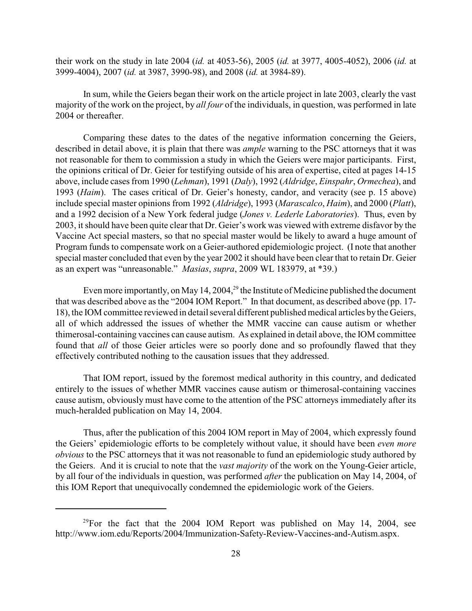their work on the study in late 2004 (*id.* at 4053-56), 2005 (*id.* at 3977, 4005-4052), 2006 (*id.* at 3999-4004), 2007 (*id.* at 3987, 3990-98), and 2008 (*id.* at 3984-89).

In sum, while the Geiers began their work on the article project in late 2003, clearly the vast majority of the work on the project, by *all four* of the individuals, in question, was performed in late 2004 or thereafter.

Comparing these dates to the dates of the negative information concerning the Geiers, described in detail above, it is plain that there was *ample* warning to the PSC attorneys that it was not reasonable for them to commission a study in which the Geiers were major participants. First, the opinions critical of Dr. Geier for testifying outside of his area of expertise, cited at pages 14-15 above, include cases from 1990 (*Lehman*), 1991 (*Daly*), 1992 (*Aldridge*, *Einspahr*, *Ormechea*), and 1993 (*Haim*). The cases critical of Dr. Geier's honesty, candor, and veracity (see p. 15 above) include special master opinions from 1992 (*Aldridge*), 1993 (*Marascalco*, *Haim*), and 2000 (*Platt*), and a 1992 decision of a New York federal judge (*Jones v. Lederle Laboratories*). Thus, even by 2003, it should have been quite clear that Dr. Geier's work was viewed with extreme disfavor by the Vaccine Act special masters, so that no special master would be likely to award a huge amount of Program funds to compensate work on a Geier-authored epidemiologic project. (I note that another special master concluded that even by the year 2002 it should have been clear that to retain Dr. Geier as an expert was "unreasonable." *Masias*, *supra*, 2009 WL 183979, at \*39.)

Even more importantly, on May 14, 2004,  $^{29}$  the Institute of Medicine published the document that was described above as the "2004 IOM Report." In that document, as described above (pp. 17- 18), the IOM committee reviewed in detail several different published medical articles by the Geiers, all of which addressed the issues of whether the MMR vaccine can cause autism or whether thimerosal-containing vaccines can cause autism. As explained in detail above, the IOM committee found that *all* of those Geier articles were so poorly done and so profoundly flawed that they effectively contributed nothing to the causation issues that they addressed.

That IOM report, issued by the foremost medical authority in this country, and dedicated entirely to the issues of whether MMR vaccines cause autism or thimerosal-containing vaccines cause autism, obviously must have come to the attention of the PSC attorneys immediately after its much-heralded publication on May 14, 2004.

Thus, after the publication of this 2004 IOM report in May of 2004, which expressly found the Geiers' epidemiologic efforts to be completely without value, it should have been *even more obvious* to the PSC attorneys that it was not reasonable to fund an epidemiologic study authored by the Geiers. And it is crucial to note that the *vast majority* of the work on the Young-Geier article, by all four of the individuals in question, was performed *after* the publication on May 14, 2004, of this IOM Report that unequivocally condemned the epidemiologic work of the Geiers.

 $^{29}$ For the fact that the 2004 IOM Report was published on May 14, 2004, see http://www.iom.edu/Reports/2004/Immunization-Safety-Review-Vaccines-and-Autism.aspx.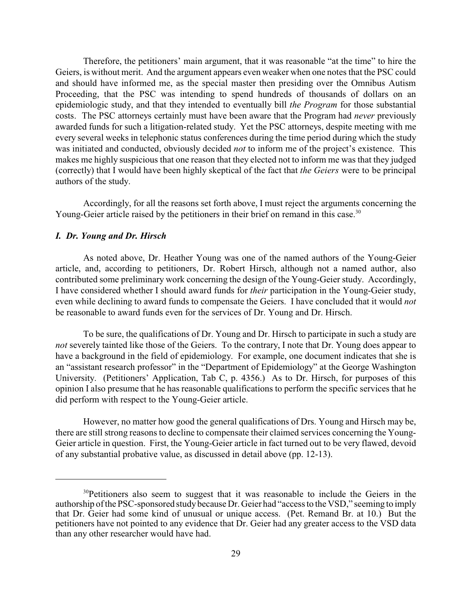Therefore, the petitioners' main argument, that it was reasonable "at the time" to hire the Geiers, is without merit. And the argument appears even weaker when one notes that the PSC could and should have informed me, as the special master then presiding over the Omnibus Autism Proceeding, that the PSC was intending to spend hundreds of thousands of dollars on an epidemiologic study, and that they intended to eventually bill *the Program* for those substantial costs. The PSC attorneys certainly must have been aware that the Program had *never* previously awarded funds for such a litigation-related study. Yet the PSC attorneys, despite meeting with me every several weeks in telephonic status conferences during the time period during which the study was initiated and conducted, obviously decided *not* to inform me of the project's existence. This makes me highly suspicious that one reason that they elected not to inform me was that they judged (correctly) that I would have been highly skeptical of the fact that *the Geiers* were to be principal authors of the study.

Accordingly, for all the reasons set forth above, I must reject the arguments concerning the Young-Geier article raised by the petitioners in their brief on remand in this case.<sup>30</sup>

#### *I. Dr. Young and Dr. Hirsch*

As noted above, Dr. Heather Young was one of the named authors of the Young-Geier article, and, according to petitioners, Dr. Robert Hirsch, although not a named author, also contributed some preliminary work concerning the design of the Young-Geier study. Accordingly, I have considered whether I should award funds for *their* participation in the Young-Geier study, even while declining to award funds to compensate the Geiers. I have concluded that it would *not* be reasonable to award funds even for the services of Dr. Young and Dr. Hirsch.

To be sure, the qualifications of Dr. Young and Dr. Hirsch to participate in such a study are *not* severely tainted like those of the Geiers. To the contrary, I note that Dr. Young does appear to have a background in the field of epidemiology. For example, one document indicates that she is an "assistant research professor" in the "Department of Epidemiology" at the George Washington University. (Petitioners' Application, Tab C, p. 4356.) As to Dr. Hirsch, for purposes of this opinion I also presume that he has reasonable qualifications to perform the specific services that he did perform with respect to the Young-Geier article.

However, no matter how good the general qualifications of Drs. Young and Hirsch may be, there are still strong reasons to decline to compensate their claimed services concerning the Young-Geier article in question. First, the Young-Geier article in fact turned out to be very flawed, devoid of any substantial probative value, as discussed in detail above (pp. 12-13).

<sup>&</sup>lt;sup>30</sup>Petitioners also seem to suggest that it was reasonable to include the Geiers in the authorship of the PSC-sponsored studybecause Dr. Geier had "access to the VSD," seeming to imply that Dr. Geier had some kind of unusual or unique access. (Pet. Remand Br. at 10.) But the petitioners have not pointed to any evidence that Dr. Geier had any greater access to the VSD data than any other researcher would have had.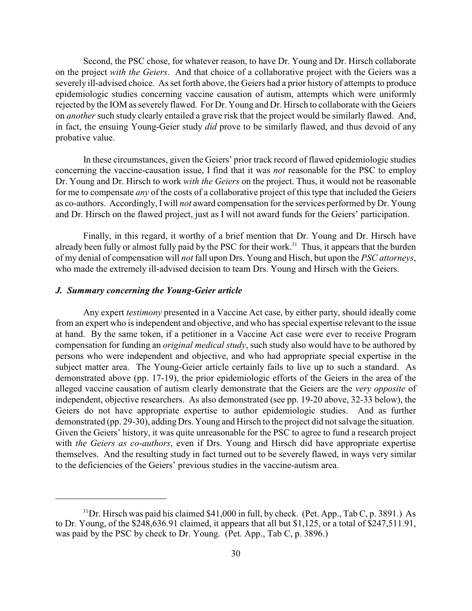Second, the PSC chose, for whatever reason, to have Dr. Young and Dr. Hirsch collaborate on the project *with the Geiers*. And that choice of a collaborative project with the Geiers was a severely ill-advised choice. As set forth above, the Geiers had a prior history of attempts to produce epidemiologic studies concerning vaccine causation of autism, attempts which were uniformly rejected by the IOM as severely flawed. For Dr. Young and Dr. Hirsch to collaborate with the Geiers on *another* such study clearly entailed a grave risk that the project would be similarly flawed. And, in fact, the ensuing Young-Geier study *did* prove to be similarly flawed, and thus devoid of any probative value.

In these circumstances, given the Geiers' prior track record of flawed epidemiologic studies concerning the vaccine-causation issue, I find that it was *not* reasonable for the PSC to employ Dr. Young and Dr. Hirsch to work *with the Geiers* on the project. Thus, it would not be reasonable for me to compensate *any* of the costs of a collaborative project of this type that included the Geiers as co-authors. Accordingly, I will *not* award compensation for the services performed by Dr. Young and Dr. Hirsch on the flawed project, just as I will not award funds for the Geiers' participation.

Finally, in this regard, it worthy of a brief mention that Dr. Young and Dr. Hirsch have already been fully or almost fully paid by the PSC for their work.<sup>31</sup> Thus, it appears that the burden of my denial of compensation will *not* fall upon Drs. Young and Hisch, but upon the *PSC attorneys*, who made the extremely ill-advised decision to team Drs. Young and Hirsch with the Geiers.

### *J. Summary concerning the Young-Geier article*

Any expert *testimony* presented in a Vaccine Act case, by either party, should ideally come from an expert who is independent and objective, and who has special expertise relevant to the issue at hand. By the same token, if a petitioner in a Vaccine Act case were ever to receive Program compensation for funding an *original medical study*, such study also would have to be authored by persons who were independent and objective, and who had appropriate special expertise in the subject matter area. The Young-Geier article certainly fails to live up to such a standard. As demonstrated above (pp. 17-19), the prior epidemiologic efforts of the Geiers in the area of the alleged vaccine causation of autism clearly demonstrate that the Geiers are the *very opposite* of independent, objective researchers. As also demonstrated (see pp. 19-20 above, 32-33 below), the Geiers do not have appropriate expertise to author epidemiologic studies. And as further demonstrated (pp. 29-30), adding Drs. Young and Hirsch to the project did not salvage the situation. Given the Geiers' history, it was quite unreasonable for the PSC to agree to fund a research project with *the Geiers as co-authors*, even if Drs. Young and Hirsch did have appropriate expertise themselves. And the resulting study in fact turned out to be severely flawed, in ways very similar to the deficiencies of the Geiers' previous studies in the vaccine-autism area.

 $31$  Dr. Hirsch was paid his claimed \$41,000 in full, by check. (Pet. App., Tab C, p. 3891.) As to Dr. Young, of the \$248,636.91 claimed, it appears that all but  $\frac{1}{25}$ , or a total of  $\frac{247}{511.91}$ , was paid by the PSC by check to Dr. Young. (Pet. App., Tab C, p. 3896.)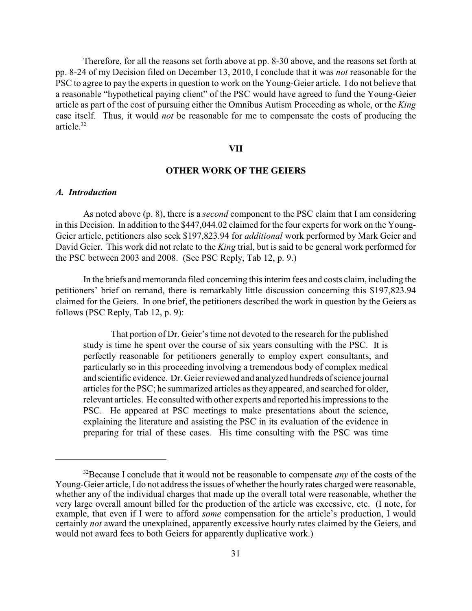Therefore, for all the reasons set forth above at pp. 8-30 above, and the reasons set forth at pp. 8-24 of my Decision filed on December 13, 2010, I conclude that it was *not* reasonable for the PSC to agree to pay the experts in question to work on the Young-Geier article. I do not believe that a reasonable "hypothetical paying client" of the PSC would have agreed to fund the Young-Geier article as part of the cost of pursuing either the Omnibus Autism Proceeding as whole, or the *King* case itself. Thus, it would *not* be reasonable for me to compensate the costs of producing the article. 32

### **VII**

# **OTHER WORK OF THE GEIERS**

## *A. Introduction*

As noted above (p. 8), there is a *second* component to the PSC claim that I am considering in this Decision. In addition to the \$447,044.02 claimed for the four experts for work on the Young-Geier article, petitioners also seek \$197,823.94 for *additional* work performed by Mark Geier and David Geier. This work did not relate to the *King* trial, but is said to be general work performed for the PSC between 2003 and 2008. (See PSC Reply, Tab 12, p. 9.)

In the briefs and memoranda filed concerning this interim fees and costs claim, including the petitioners' brief on remand, there is remarkably little discussion concerning this \$197,823.94 claimed for the Geiers. In one brief, the petitioners described the work in question by the Geiers as follows (PSC Reply, Tab 12, p. 9):

That portion of Dr. Geier's time not devoted to the research for the published study is time he spent over the course of six years consulting with the PSC. It is perfectly reasonable for petitioners generally to employ expert consultants, and particularly so in this proceeding involving a tremendous body of complex medical and scientific evidence. Dr. Geierreviewed and analyzed hundreds of science journal articles for the PSC; he summarized articles as they appeared, and searched for older, relevant articles. He consulted with other experts and reported his impressions to the PSC. He appeared at PSC meetings to make presentations about the science, explaining the literature and assisting the PSC in its evaluation of the evidence in preparing for trial of these cases. His time consulting with the PSC was time

<sup>&</sup>lt;sup>32</sup> Because I conclude that it would not be reasonable to compensate *any* of the costs of the Young-Geier article, I do not address the issues of whether the hourly rates charged were reasonable, whether any of the individual charges that made up the overall total were reasonable, whether the very large overall amount billed for the production of the article was excessive, etc. (I note, for example, that even if I were to afford *some* compensation for the article's production, I would certainly *not* award the unexplained, apparently excessive hourly rates claimed by the Geiers, and would not award fees to both Geiers for apparently duplicative work.)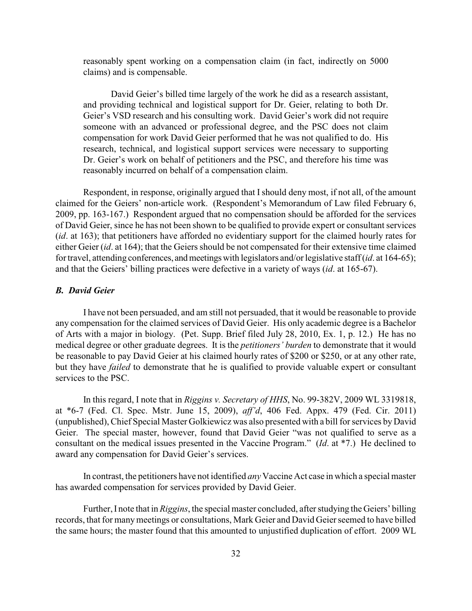reasonably spent working on a compensation claim (in fact, indirectly on 5000 claims) and is compensable.

David Geier's billed time largely of the work he did as a research assistant, and providing technical and logistical support for Dr. Geier, relating to both Dr. Geier's VSD research and his consulting work. David Geier's work did not require someone with an advanced or professional degree, and the PSC does not claim compensation for work David Geier performed that he was not qualified to do. His research, technical, and logistical support services were necessary to supporting Dr. Geier's work on behalf of petitioners and the PSC, and therefore his time was reasonably incurred on behalf of a compensation claim.

Respondent, in response, originally argued that I should deny most, if not all, of the amount claimed for the Geiers' non-article work. (Respondent's Memorandum of Law filed February 6, 2009, pp. 163-167.) Respondent argued that no compensation should be afforded for the services of David Geier, since he has not been shown to be qualified to provide expert or consultant services (*id*. at 163); that petitioners have afforded no evidentiary support for the claimed hourly rates for either Geier (*id*. at 164); that the Geiers should be not compensated for their extensive time claimed for travel, attending conferences, and meetings with legislators and/or legislative staff (*id.* at 164-65); and that the Geiers' billing practices were defective in a variety of ways (*id*. at 165-67).

### *B. David Geier*

I have not been persuaded, and am still not persuaded, that it would be reasonable to provide any compensation for the claimed services of David Geier. His only academic degree is a Bachelor of Arts with a major in biology. (Pet. Supp. Brief filed July 28, 2010, Ex. 1, p. 12.) He has no medical degree or other graduate degrees. It is the *petitioners' burden* to demonstrate that it would be reasonable to pay David Geier at his claimed hourly rates of \$200 or \$250, or at any other rate, but they have *failed* to demonstrate that he is qualified to provide valuable expert or consultant services to the PSC.

In this regard, I note that in *Riggins v. Secretary of HHS*, No. 99-382V, 2009 WL 3319818, at \*6-7 (Fed. Cl. Spec. Mstr. June 15, 2009), *aff'd*, 406 Fed. Appx. 479 (Fed. Cir. 2011) (unpublished), Chief Special Master Golkiewicz was also presented with a bill for services byDavid Geier. The special master, however, found that David Geier "was not qualified to serve as a consultant on the medical issues presented in the Vaccine Program." (*Id*. at \*7.) He declined to award any compensation for David Geier's services.

In contrast, the petitioners have not identified *any* Vaccine Act case in which a special master has awarded compensation for services provided by David Geier.

Further, I note that in *Riggins*, the special master concluded, after studying the Geiers' billing records, that for manymeetings or consultations, Mark Geier and David Geierseemed to have billed the same hours; the master found that this amounted to unjustified duplication of effort. 2009 WL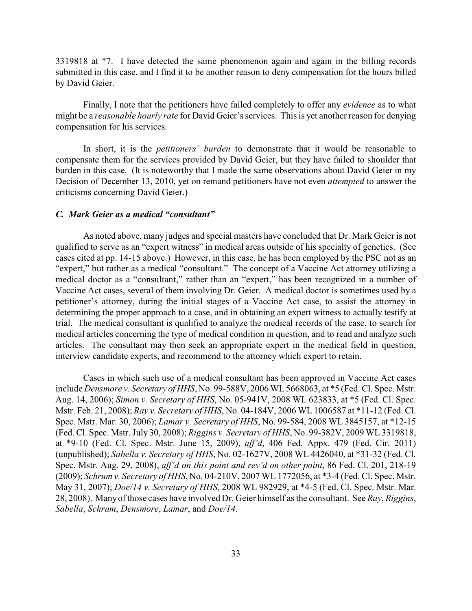3319818 at \*7. I have detected the same phenomenon again and again in the billing records submitted in this case, and I find it to be another reason to deny compensation for the hours billed by David Geier.

Finally, I note that the petitioners have failed completely to offer any *evidence* as to what might be a *reasonable hourly rate* for David Geier's services. This is yet another reason for denying compensation for his services.

In short, it is the *petitioners' burden* to demonstrate that it would be reasonable to compensate them for the services provided by David Geier, but they have failed to shoulder that burden in this case. (It is noteworthy that I made the same observations about David Geier in my Decision of December 13, 2010, yet on remand petitioners have not even *attempted* to answer the criticisms concerning David Geier.)

### *C. Mark Geier as a medical "consultant"*

As noted above, many judges and special masters have concluded that Dr. Mark Geier is not qualified to serve as an "expert witness" in medical areas outside of his specialty of genetics. (See cases cited at pp. 14-15 above.) However, in this case, he has been employed by the PSC not as an "expert," but rather as a medical "consultant." The concept of a Vaccine Act attorney utilizing a medical doctor as a "consultant," rather than an "expert," has been recognized in a number of Vaccine Act cases, several of them involving Dr. Geier. A medical doctor is sometimes used by a petitioner's attorney, during the initial stages of a Vaccine Act case, to assist the attorney in determining the proper approach to a case, and in obtaining an expert witness to actually testify at trial. The medical consultant is qualified to analyze the medical records of the case, to search for medical articles concerning the type of medical condition in question, and to read and analyze such articles. The consultant may then seek an appropriate expert in the medical field in question, interview candidate experts, and recommend to the attorney which expert to retain.

Cases in which such use of a medical consultant has been approved in Vaccine Act cases include *Densmore v. Secretary of HHS*, No. 99-588V, 2006 WL5668063, at \*5 (Fed. Cl. Spec. Mstr. Aug. 14, 2006); *Simon v. Secretary of HHS*, No. 05-941V, 2008 WL 623833, at \*5 (Fed. Cl. Spec. Mstr. Feb. 21, 2008); *Ray v. Secretary of HHS*, No. 04-184V, 2006 WL 1006587 at \*11-12 (Fed. Cl. Spec. Mstr. Mar. 30, 2006); *Lamar v. Secretary of HHS*, No. 99-584, 2008 WL 3845157, at \*12-15 (Fed. Cl. Spec. Mstr. July 30, 2008); *Riggins v. Secretary of HHS*, No. 99-382V, 2009 WL 3319818, at \*9-10 (Fed. Cl. Spec. Mstr. June 15, 2009), *aff'd*, 406 Fed. Appx. 479 (Fed. Cir. 2011) (unpublished); *Sabella v. Secretary of HHS*, No. 02-1627V, 2008 WL 4426040, at \*31-32 (Fed. Cl. Spec. Mstr. Aug. 29, 2008), *aff'd on this point and rev'd on other point*, 86 Fed. Cl. 201, 218-19 (2009); *Schrum v. Secretary of HHS*, No. 04-210V, 2007 WL 1772056, at \*3-4 (Fed. Cl. Spec. Mstr. May 31, 2007); *Doe/14 v. Secretary of HHS*, 2008 WL 982929, at \*4-5 (Fed. Cl. Spec. Mstr. Mar. 28, 2008). Many of those cases have involved Dr. Geier himself as the consultant. See *Ray*, *Riggins*, *Sabella*, *Schrum*, *Densmore*, *Lamar*, and *Doe/14*.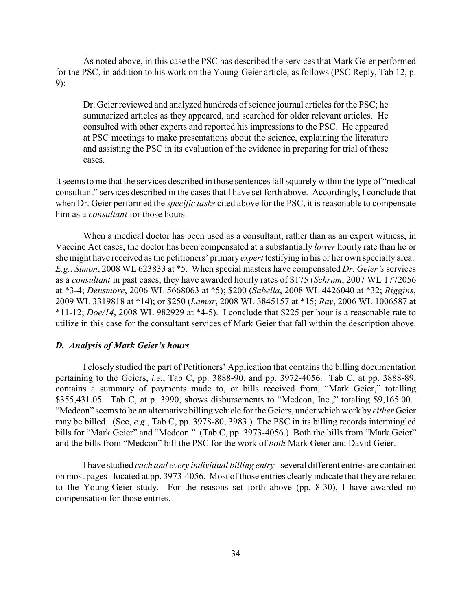As noted above, in this case the PSC has described the services that Mark Geier performed for the PSC, in addition to his work on the Young-Geier article, as follows (PSC Reply, Tab 12, p. 9):

Dr. Geier reviewed and analyzed hundreds of science journal articles for the PSC; he summarized articles as they appeared, and searched for older relevant articles. He consulted with other experts and reported his impressions to the PSC. He appeared at PSC meetings to make presentations about the science, explaining the literature and assisting the PSC in its evaluation of the evidence in preparing for trial of these cases.

It seems to me that the services described in those sentences fall squarelywithin the type of "medical consultant" services described in the cases that I have set forth above. Accordingly, I conclude that when Dr. Geier performed the *specific tasks* cited above for the PSC, it is reasonable to compensate him as a *consultant* for those hours.

When a medical doctor has been used as a consultant, rather than as an expert witness, in Vaccine Act cases, the doctor has been compensated at a substantially *lower* hourly rate than he or she might have received as the petitioners' primary *expert* testifying in his or her own specialty area. *E.g.*, *Simon*, 2008 WL 623833 at \*5. When special masters have compensated *Dr. Geier's* services as a *consultant* in past cases, they have awarded hourly rates of \$175 (*Schrum*, 2007 WL 1772056 at \*3-4; *Densmore*, 2006 WL 5668063 at \*5); \$200 (*Sabella*, 2008 WL 4426040 at \*32; *Riggins*, 2009 WL 3319818 at \*14); or \$250 (*Lamar*, 2008 WL 3845157 at \*15; *Ray*, 2006 WL 1006587 at \*11-12; *Doe/14*, 2008 WL 982929 at \*4-5). I conclude that \$225 per hour is a reasonable rate to utilize in this case for the consultant services of Mark Geier that fall within the description above.

# *D. Analysis of Mark Geier's hours*

I closely studied the part of Petitioners' Application that contains the billing documentation pertaining to the Geiers, *i.e.*, Tab C, pp. 3888-90, and pp. 3972-4056. Tab C, at pp. 3888-89, contains a summary of payments made to, or bills received from, "Mark Geier," totalling \$355,431.05. Tab C, at p. 3990, shows disbursements to "Medcon, Inc.," totaling \$9,165.00. "Medcon" seems to be an alternative billing vehicle for the Geiers, under which work by*either* Geier may be billed. (See, *e.g.*, Tab C, pp. 3978-80, 3983.) The PSC in its billing records intermingled bills for "Mark Geier" and "Medcon." (Tab C, pp. 3973-4056.) Both the bills from "Mark Geier" and the bills from "Medcon" bill the PSC for the work of *both* Mark Geier and David Geier.

I have studied *each and every individual billing entry*--several different entries are contained on most pages--located at pp. 3973-4056. Most of those entries clearly indicate that they are related to the Young-Geier study. For the reasons set forth above (pp. 8-30), I have awarded no compensation for those entries.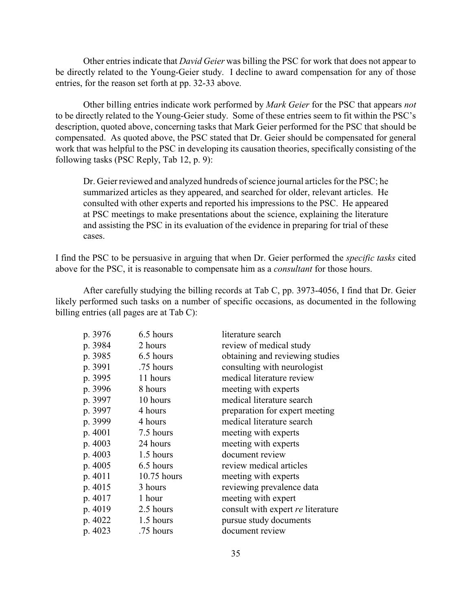Other entries indicate that *David Geier* was billing the PSC for work that does not appear to be directly related to the Young-Geier study. I decline to award compensation for any of those entries, for the reason set forth at pp. 32-33 above.

Other billing entries indicate work performed by *Mark Geier* for the PSC that appears *not* to be directly related to the Young-Geier study. Some of these entries seem to fit within the PSC's description, quoted above, concerning tasks that Mark Geier performed for the PSC that should be compensated. As quoted above, the PSC stated that Dr. Geier should be compensated for general work that was helpful to the PSC in developing its causation theories, specifically consisting of the following tasks (PSC Reply, Tab 12, p. 9):

Dr. Geier reviewed and analyzed hundreds of science journal articles for the PSC; he summarized articles as they appeared, and searched for older, relevant articles. He consulted with other experts and reported his impressions to the PSC. He appeared at PSC meetings to make presentations about the science, explaining the literature and assisting the PSC in its evaluation of the evidence in preparing for trial of these cases.

I find the PSC to be persuasive in arguing that when Dr. Geier performed the *specific tasks* cited above for the PSC, it is reasonable to compensate him as a *consultant* for those hours.

After carefully studying the billing records at Tab C, pp. 3973-4056, I find that Dr. Geier likely performed such tasks on a number of specific occasions, as documented in the following billing entries (all pages are at Tab C):

| p. 3976 | 6.5 hours   | literature search                 |
|---------|-------------|-----------------------------------|
| p. 3984 | 2 hours     | review of medical study           |
| p. 3985 | 6.5 hours   | obtaining and reviewing studies   |
| p. 3991 | .75 hours   | consulting with neurologist       |
| p. 3995 | 11 hours    | medical literature review         |
| p. 3996 | 8 hours     | meeting with experts              |
| p. 3997 | 10 hours    | medical literature search         |
| p. 3997 | 4 hours     | preparation for expert meeting    |
| p. 3999 | 4 hours     | medical literature search         |
| p. 4001 | 7.5 hours   | meeting with experts              |
| p. 4003 | 24 hours    | meeting with experts              |
| p. 4003 | 1.5 hours   | document review                   |
| p. 4005 | 6.5 hours   | review medical articles           |
| p. 4011 | 10.75 hours | meeting with experts              |
| p. 4015 | 3 hours     | reviewing prevalence data         |
| p. 4017 | 1 hour      | meeting with expert               |
| p. 4019 | 2.5 hours   | consult with expert re literature |
| p. 4022 | 1.5 hours   | pursue study documents            |
| p. 4023 | .75 hours   | document review                   |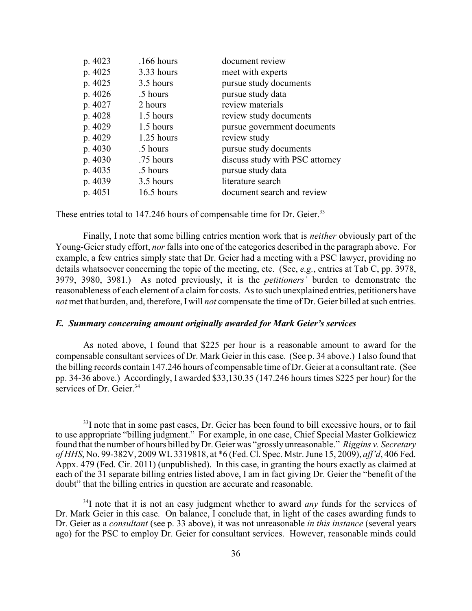| p. 4023 | $.166$ hours | document review                 |
|---------|--------------|---------------------------------|
| p. 4025 | 3.33 hours   | meet with experts               |
| p. 4025 | 3.5 hours    | pursue study documents          |
| p. 4026 | .5 hours     | pursue study data               |
| p. 4027 | 2 hours      | review materials                |
| p. 4028 | 1.5 hours    | review study documents          |
| p. 4029 | 1.5 hours    | pursue government documents     |
| p. 4029 | $1.25$ hours | review study                    |
| p. 4030 | .5 hours     | pursue study documents          |
| p. 4030 | .75 hours    | discuss study with PSC attorney |
| p. 4035 | .5 hours     | pursue study data               |
| p. 4039 | 3.5 hours    | literature search               |
| p. 4051 | $16.5$ hours | document search and review      |

These entries total to 147.246 hours of compensable time for Dr. Geier.<sup>33</sup>

Finally, I note that some billing entries mention work that is *neither* obviously part of the Young-Geier study effort, *nor* falls into one of the categories described in the paragraph above. For example, a few entries simply state that Dr. Geier had a meeting with a PSC lawyer, providing no details whatsoever concerning the topic of the meeting, etc. (See, *e.g.*, entries at Tab C, pp. 3978, 3979, 3980, 3981.) As noted previously, it is the *petitioners'* burden to demonstrate the reasonableness of each element of a claim for costs. As to such unexplained entries, petitioners have *not* met that burden, and, therefore, I will *not* compensate the time of Dr. Geier billed at such entries.

### *E. Summary concerning amount originally awarded for Mark Geier's services*

As noted above, I found that \$225 per hour is a reasonable amount to award for the compensable consultant services of Dr. Mark Geier in this case. (See p. 34 above.) I also found that the billing records contain 147.246 hours of compensable time of Dr. Geier at a consultant rate. (See pp. 34-36 above.) Accordingly, I awarded \$33,130.35 (147.246 hours times \$225 per hour) for the services of Dr. Geier.<sup>34</sup>

 $33$ I note that in some past cases, Dr. Geier has been found to bill excessive hours, or to fail to use appropriate "billing judgment." For example, in one case, Chief Special Master Golkiewicz found that the number of hours billed byDr. Geier was "grossly unreasonable." *Riggins v. Secretary of HHS*, No. 99-382V, 2009 WL3319818, at \*6 (Fed. Cl. Spec. Mstr. June 15, 2009), *aff'd*, 406 Fed. Appx. 479 (Fed. Cir. 2011) (unpublished). In this case, in granting the hours exactly as claimed at each of the 31 separate billing entries listed above, I am in fact giving Dr. Geier the "benefit of the doubt" that the billing entries in question are accurate and reasonable.

<sup>&</sup>lt;sup>34</sup>I note that it is not an easy judgment whether to award *any* funds for the services of Dr. Mark Geier in this case. On balance, I conclude that, in light of the cases awarding funds to Dr. Geier as a *consultant* (see p. 33 above), it was not unreasonable *in this instance* (several years ago) for the PSC to employ Dr. Geier for consultant services. However, reasonable minds could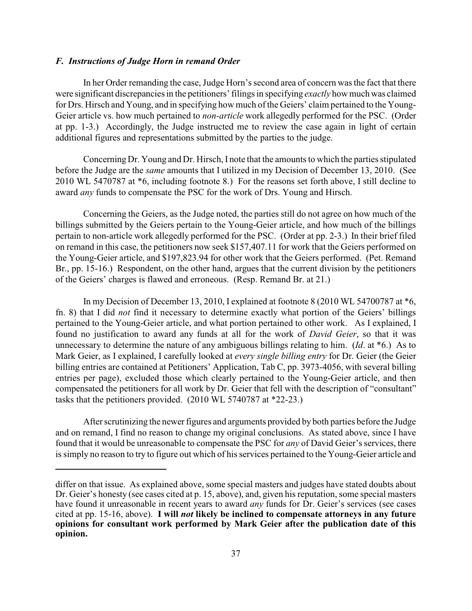#### *F. Instructions of Judge Horn in remand Order*

In her Order remanding the case, Judge Horn's second area of concern was the fact that there were significant discrepancies in the petitioners' filings in specifying *exactly* how much was claimed for Drs. Hirsch and Young, and in specifying how much of the Geiers' claim pertained to the Young-Geier article vs. how much pertained to *non-article* work allegedly performed for the PSC. (Order at pp. 1-3.) Accordingly, the Judge instructed me to review the case again in light of certain additional figures and representations submitted by the parties to the judge.

Concerning Dr. Young and Dr. Hirsch, I note that the amounts to which the parties stipulated before the Judge are the *same* amounts that I utilized in my Decision of December 13, 2010. (See 2010 WL 5470787 at \*6, including footnote 8.) For the reasons set forth above, I still decline to award *any* funds to compensate the PSC for the work of Drs. Young and Hirsch.

Concerning the Geiers, as the Judge noted, the parties still do not agree on how much of the billings submitted by the Geiers pertain to the Young-Geier article, and how much of the billings pertain to non-article work allegedly performed for the PSC. (Order at pp. 2-3.) In their brief filed on remand in this case, the petitioners now seek \$157,407.11 for work that the Geiers performed on the Young-Geier article, and \$197,823.94 for other work that the Geiers performed. (Pet. Remand Br., pp. 15-16.) Respondent, on the other hand, argues that the current division by the petitioners of the Geiers' charges is flawed and erroneous. (Resp. Remand Br. at 21.)

In my Decision of December 13, 2010, I explained at footnote 8 (2010 WL 54700787 at \*6, fn. 8) that I did *not* find it necessary to determine exactly what portion of the Geiers' billings pertained to the Young-Geier article, and what portion pertained to other work. As I explained, I found no justification to award any funds at all for the work of *David Geier*, so that it was unnecessary to determine the nature of any ambiguous billings relating to him. (*Id*. at \*6.) As to Mark Geier, as I explained, I carefully looked at *every single billing entry* for Dr. Geier (the Geier billing entries are contained at Petitioners' Application, Tab C, pp. 3973-4056, with several billing entries per page), excluded those which clearly pertained to the Young-Geier article, and then compensated the petitioners for all work by Dr. Geier that fell with the description of "consultant" tasks that the petitioners provided. (2010 WL 5740787 at \*22-23.)

After scrutinizing the newer figures and arguments provided by both parties before the Judge and on remand, I find no reason to change my original conclusions. As stated above, since I have found that it would be unreasonable to compensate the PSC for *any* of David Geier's services, there is simply no reason to try to figure out which of his services pertained to the Young-Geier article and

differ on that issue. As explained above, some special masters and judges have stated doubts about Dr. Geier's honesty (see cases cited at p. 15, above), and, given his reputation, some special masters have found it unreasonable in recent years to award *any* funds for Dr. Geier's services (see cases cited at pp. 15-16, above). **I will** *not* **likely be inclined to compensate attorneys in any future opinions for consultant work performed by Mark Geier after the publication date of this opinion.**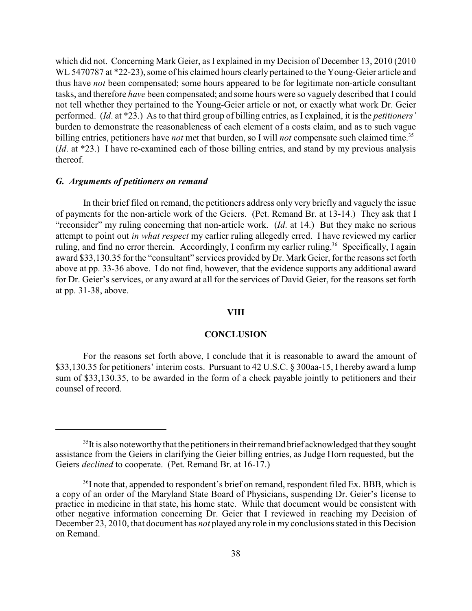which did not. Concerning Mark Geier, as I explained in my Decision of December 13, 2010 (2010 WL 5470787 at \*22-23), some of his claimed hours clearly pertained to the Young-Geier article and thus have *not* been compensated; some hours appeared to be for legitimate non-article consultant tasks, and therefore *have* been compensated; and some hours were so vaguely described that I could not tell whether they pertained to the Young-Geier article or not, or exactly what work Dr. Geier performed. (*Id*. at \*23.) As to that third group of billing entries, as I explained, it is the *petitioners'* burden to demonstrate the reasonableness of each element of a costs claim, and as to such vague billing entries, petitioners have *not* met that burden, so I will *not* compensate such claimed time.<sup>35</sup> (*Id*. at \*23.) I have re-examined each of those billing entries, and stand by my previous analysis thereof.

#### *G. Arguments of petitioners on remand*

In their brief filed on remand, the petitioners address only very briefly and vaguely the issue of payments for the non-article work of the Geiers. (Pet. Remand Br. at 13-14.) They ask that I "reconsider" my ruling concerning that non-article work. (*Id*. at 14.) But they make no serious attempt to point out *in what respect* my earlier ruling allegedly erred. I have reviewed my earlier ruling, and find no error therein. Accordingly, I confirm my earlier ruling.<sup>36</sup> Specifically, I again award \$33,130.35 for the "consultant" services provided by Dr. Mark Geier, for the reasons set forth above at pp. 33-36 above. I do not find, however, that the evidence supports any additional award for Dr. Geier's services, or any award at all for the services of David Geier, for the reasons set forth at pp. 31-38, above.

#### **VIII**

### **CONCLUSION**

For the reasons set forth above, I conclude that it is reasonable to award the amount of \$33,130.35 for petitioners' interim costs. Pursuant to 42 U.S.C. § 300aa-15, I hereby award a lump sum of \$33,130.35, to be awarded in the form of a check payable jointly to petitioners and their counsel of record.

 $35$ It is also noteworthy that the petitioners in their remand brief acknowledged that they sought assistance from the Geiers in clarifying the Geier billing entries, as Judge Horn requested, but the Geiers *declined* to cooperate. (Pet. Remand Br. at 16-17.)

 $36$ I note that, appended to respondent's brief on remand, respondent filed Ex. BBB, which is a copy of an order of the Maryland State Board of Physicians, suspending Dr. Geier's license to practice in medicine in that state, his home state. While that document would be consistent with other negative information concerning Dr. Geier that I reviewed in reaching my Decision of December 23, 2010, that document has *not* played any role in my conclusions stated in this Decision on Remand.